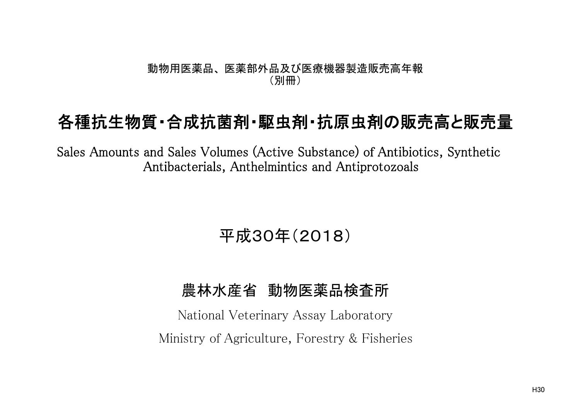#### 動物用医薬品、 医薬部外品及び医療機器製造販売高年報 (別冊)

# 各種抗生物質・合成抗菌剤・駆虫剤・抗原虫剤の販売高と販売量

Sales Amounts and Sales Volumes (Active Substance) of Antibiotics, Synthetic Antibacterials, Anthelmintics and Antiprotozoals

# 平成30年(2018)

### 農林水産省 動物医薬品検査所

National Veterinary Assay Laboratory Ministry of Agriculture, Forestry & Fisheries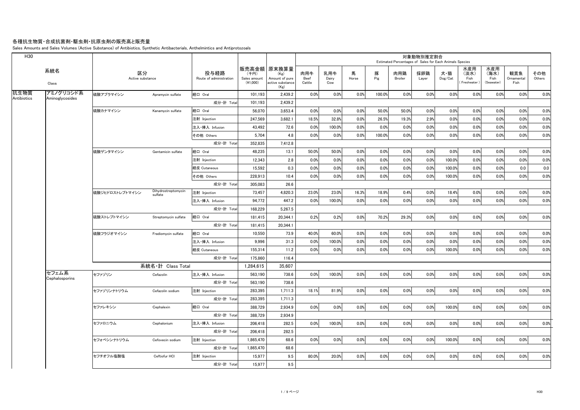#### 各種抗生物質・合成抗菌剤・駆虫剤・抗原虫剤の販売高と販売量

Sales Amounts and Sales Volumes (Active Substance) of Antibiotics, Synthetic Antibacterials, Anthelmintics and Antiprotozoals

| H <sub>30</sub> |                         |                        |                                |                                 |                                    |                                                                     |                       |                     |            |          |                | 対象動物別推定割合    | Estimated Percentages of Sales for Each Animals Species |                                   |                                   |                           |               |
|-----------------|-------------------------|------------------------|--------------------------------|---------------------------------|------------------------------------|---------------------------------------------------------------------|-----------------------|---------------------|------------|----------|----------------|--------------|---------------------------------------------------------|-----------------------------------|-----------------------------------|---------------------------|---------------|
|                 | 系統名<br>Class            | 区分<br>Active substance |                                | 投与経路<br>Route of administration | (千円)<br>Sales amount<br>$(*1,000)$ | 販売高金額   原末換算量<br>(Kg)<br>Amount of pure<br>active substance<br>(Kg) | 肉用牛<br>Beef<br>Cattle | 乳用牛<br>Dairy<br>Cow | 馬<br>Horse | 豚<br>Pig | 肉用鶏<br>Broiler | 採卵鶏<br>Layer | 犬・猫<br>Dog/Cat                                          | 水産用<br>(淡水)<br>Fish<br>Freshwater | 水産用<br>(海水)<br>Fish<br>(Seawater) | 観賞魚<br>Ornamental<br>Fish | その他<br>Others |
| 抗生物質            | アミノグリコシド系               | 硫酸アプラマイシン              | Apramycin sulfate              | 経口 Oral                         | 101.193                            | 2,439.2                                                             | 0.0%                  | 0.0%                | 0.0%       | 100.0%   | 0.0%           | 0.0%         | 0.0%                                                    | 0.0%                              | 0.0%                              | 0.0%                      | 0.0%          |
| Antibiotics     | Aminoglycosides         |                        |                                | 成分·計 Total                      | 101,193                            | 2,439.2                                                             |                       |                     |            |          |                |              |                                                         |                                   |                                   |                           |               |
|                 |                         | 硫酸カナマイシン               | Kanamycin sulfate              | 経口 Oral                         | 56,070                             | 3,653.4                                                             | 0.0%                  | 0.0%                | 0.0%       | 50.0%    | 50.0%          | 0.0%         | 0.0%                                                    | 0.0%                              | 0.0%                              | 0.0%                      | 0.0%          |
|                 |                         |                        |                                | 注射 Injection                    | 247.569                            | 3,682.1                                                             | 18.5%                 | 32.8%               | 0.0%       | 26.5%    | 19.3%          | 2.9%         | 0.0%                                                    | 0.0%                              | 0.0%                              | 0.0%                      | 0.0%          |
|                 |                         |                        |                                | 注入·挿入 Infusion                  | 43,492                             | 72.6                                                                | 0.0%                  | 100.0%              | 0.0%       | 0.0%     | 0.0%           | 0.0%         | 0.0%                                                    | 0.0%                              | 0.0%                              | 0.0%                      | 0.0%          |
|                 |                         |                        |                                | その他 Others                      | 5,704                              | 4.8                                                                 | 0.0%                  | 0.0%                | 0.0%       | 100.0%   | 0.0%           | 0.0%         | 0.0%                                                    | 0.0%                              | 0.0%                              | 0.0%                      | 0.0%          |
|                 |                         |                        |                                | 成分·計 Total                      | 352,835                            | 7,412.8                                                             |                       |                     |            |          |                |              |                                                         |                                   |                                   |                           |               |
|                 |                         | 硫酸ゲンタマイシン              | Gentamicin sulfate             | 経口 Oral                         | 48.235                             | 13.1                                                                | 50.0%                 | 50.0%               | 0.0%       | 0.0%     | 0.0%           | 0.0%         | 0.0%                                                    | 0.0%                              | 0.0%                              | 0.0%                      | 0.0%          |
|                 |                         |                        |                                | 注射 Injection                    | 12,343                             | 2.8                                                                 | 0.0%                  | 0.0%                | 0.0%       | 0.0%     | 0.0%           | 0.0%         | 100.0%                                                  | 0.0%                              | 0.0%                              | 0.0%                      | 0.0%          |
|                 |                         |                        |                                | 経皮 Cutaneous                    | 15.592                             | 0.3                                                                 | 0.0%                  | 0.0%                | 0.0%       | 0.0%     | 0.0%           | 0.0%         | 100.0%                                                  | 0.0%                              | 0.0%                              | 0.0                       | 0.0           |
|                 |                         |                        |                                | その他 Others                      | 228.913                            | 10.4                                                                | 0.0%                  | 0.0%                | 0.0%       | 0.0%     | 0.0%           | 0.0%         | 100.0%                                                  | 0.0%                              | 0.0%                              | 0.0%                      | 0.0%          |
|                 |                         |                        |                                | 成分·計 Total                      | 305,083                            | 26.6                                                                |                       |                     |            |          |                |              |                                                         |                                   |                                   |                           |               |
|                 |                         | 硫酸ジヒドロストレプトマイシン        | Dihydrostreptomycin<br>sulfate | 注射 Injection                    | 73.457                             | 4,820.3                                                             | 23.0%                 | 23.0%               | 16.3%      | 18.9%    | 0.4%           | 0.0%         | 18.4%                                                   | 0.0%                              | 0.0%                              | 0.0%                      | 0.0%          |
|                 |                         |                        |                                | 注入・挿入 Infusion                  | 94.772                             | 447.2                                                               | 0.0%                  | 100.0%              | 0.0%       | 0.0%     | 0.0%           | 0.0%         | 0.0%                                                    | 0.0%                              | 0.0%                              | 0.0%                      | 0.0%          |
|                 |                         |                        |                                | 成分·計 Total                      | 168,229                            | 5,267.5                                                             |                       |                     |            |          |                |              |                                                         |                                   |                                   |                           |               |
|                 |                         | 硫酸ストレプトマイシン            | Streptomycin sulfate           | 経口 Oral                         | 181.415                            | 20.344.1                                                            | 0.2%                  | 0.2%                | 0.0%       | 70.2%    | 29.3%          | 0.0%         | 0.0%                                                    | 0.0%                              | 0.0%                              | 0.0%                      | 0.0%          |
|                 |                         |                        |                                | 成分·計 Total                      | 181.415                            | 20,344.1                                                            |                       |                     |            |          |                |              |                                                         |                                   |                                   |                           |               |
|                 |                         | 硫酸フラジオマイシン             | Fradiomycin sulfate            | 経口 Oral                         | 10,550                             | 73.9                                                                | 40.0%                 | 60.0%               | 0.0%       | 0.0%     | 0.0%           | 0.0%         | 0.0%                                                    | 0.0%                              | 0.0%                              | 0.0%                      | 0.0%          |
|                 |                         |                        |                                | 注入·挿入 Infusion                  | 9,996                              | 31.3                                                                | 0.0%                  | 100.0%              | 0.0%       | 0.0%     | 0.0%           | 0.0%         | 0.0%                                                    | 0.0%                              | 0.0%                              | 0.0%                      | 0.0%          |
|                 |                         |                        |                                | 経皮 Cutaneous                    | 155.314                            | 11.2                                                                | 0.0%                  | 0.0%                | 0.0%       | 0.0%     | 0.0%           | 0.0%         | 100.0%                                                  | 0.0%                              | 0.0%                              | 0.0%                      | 0.0%          |
|                 |                         |                        |                                | 成分·計 Total                      | 175,860                            | 116.4                                                               |                       |                     |            |          |                |              |                                                         |                                   |                                   |                           |               |
|                 |                         |                        | 系統名·計 Class Total              |                                 | 1,284,615                          | 35,607                                                              |                       |                     |            |          |                |              |                                                         |                                   |                                   |                           |               |
|                 | セフェム系<br>Cephalosporins | セファゾリン                 | Cefazolin                      | 注入·挿入 Infusion                  | 563.190                            | 738.6                                                               | 0.0%                  | 100.0%              | 0.0%       | 0.0%     | 0.0%           | 0.0%         | 0.0%                                                    | 0.0%                              | 0.0%                              | 0.0%                      | 0.0%          |
|                 |                         |                        |                                | 成分·計 Total                      | 563,190                            | 738.6                                                               |                       |                     |            |          |                |              |                                                         |                                   |                                   |                           |               |
|                 |                         | セファゾリンナトリウム            | Cefazolin sodium               | 注射 Injection                    | 283,395                            | 1,711.3                                                             | 18.1%                 | 81.9%               | 0.0%       | 0.0%     | 0.0%           | 0.0%         | 0.0%                                                    | 0.0%                              | 0.0%                              | 0.0%                      | 0.0%          |
|                 |                         |                        |                                | 成分·計 Total                      | 283.395                            | 1,711.3                                                             |                       |                     |            |          |                |              |                                                         |                                   |                                   |                           |               |
|                 |                         | セファレキシン                | Cephalexin                     | 経口 Oral                         | 388,729                            | 2,934.9                                                             | 0.0%                  | 0.0%                | 0.0%       | 0.0%     | 0.0%           | 0.0%         | 100.0%                                                  | 0.0%                              | 0.0%                              | 0.0%                      | 0.0%          |
|                 |                         |                        |                                | 成分·計 Total                      | 388,729                            | 2.934.9                                                             |                       |                     |            |          |                |              |                                                         |                                   |                                   |                           |               |
|                 |                         | セファロニウム                | Cephalonium                    | 注入·挿入 Infusion                  | 206.418                            | 282.5                                                               | 0.0%                  | 100.0%              | 0.0%       | 0.0%     | 0.0%           | 0.0%         | 0.0%                                                    | 0.0%                              | 0.0%                              | 0.0%                      | 0.0%          |
|                 |                         |                        |                                | 成分·計 Total                      | 206,418                            | 282.5                                                               |                       |                     |            |          |                |              |                                                         |                                   |                                   |                           |               |
|                 |                         | セフォベシンナトリウム            | Cefovecin sodium               | 注射 Injection                    | 1,865,470                          | 68.6                                                                | 0.0%                  | 0.0%                | 0.0%       | 0.0%     | 0.0%           | 0.0%         | 100.0%                                                  | 0.0%                              | 0.0%                              | 0.0%                      | 0.0%          |
|                 |                         |                        |                                | 成分·計 Total                      | 1,865,470                          | 68.6                                                                |                       |                     |            |          |                |              |                                                         |                                   |                                   |                           |               |
|                 |                         | セフチオフル塩酸塩              | Ceftiofur HCI                  | 注射 Injection                    | 15,977                             | 9.5                                                                 | 80.0%                 | 20.0%               | 0.0%       | 0.0%     | 0.0%           | 0.0%         | 0.0%                                                    | 0.0%                              | 0.0%                              | 0.0%                      | 0.0%          |
|                 |                         |                        |                                | 成分·計 Total                      | 15.977                             | 9.5                                                                 |                       |                     |            |          |                |              |                                                         |                                   |                                   |                           |               |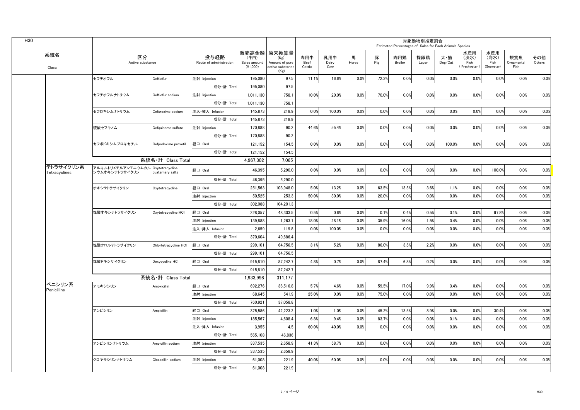|                            |                                                     |                       |                                 |                                    |                                                                     |                       |                     |            |          | Estimated Percentages of Sales for Each Animals Species | 対象動物別推定割合    |                |                                   |                                   |                           |               |
|----------------------------|-----------------------------------------------------|-----------------------|---------------------------------|------------------------------------|---------------------------------------------------------------------|-----------------------|---------------------|------------|----------|---------------------------------------------------------|--------------|----------------|-----------------------------------|-----------------------------------|---------------------------|---------------|
| 系統名<br>Class               | 区分<br>Active substance                              |                       | 投与経路<br>Route of administration | (千円)<br>Sales amount<br>$(*1,000)$ | 販売高金額   原末換算量<br>(Kg)<br>Amount of pure<br>active substance<br>(Kg) | 肉用牛<br>Beef<br>Cattle | 乳用牛<br>Dairy<br>Cow | 馬<br>Horse | 豚<br>Pig | 肉用鶏<br>Broiler                                          | 採卵鶏<br>Layer | 犬・猫<br>Dog/Cat | 水産用<br>(淡水)<br>Fish<br>Freshwater | 水産用<br>(海水)<br>Fish<br>(Seawater) | 観賞魚<br>Ornamental<br>Fish | その他<br>Others |
|                            | セフチオフル                                              | Ceftiofur             | 注射 Injection                    | 195,080                            | 97.5                                                                | 11.1%                 | 16.6%               | 0.0%       | 72.3%    | 0.0%                                                    | 0.0%         | 0.0%           | 0.0%                              | 0.0%                              | 0.0%                      | 0.0%          |
|                            |                                                     |                       | 成分·計 Total                      | 195,080                            | 97.5                                                                |                       |                     |            |          |                                                         |              |                |                                   |                                   |                           |               |
|                            | セフチオフルナトリウム                                         | Ceftiofur sodium      | 注射 Injection                    | 1.011.130                          | 758.1                                                               | 10.0%                 | 20.0%               | 0.0%       | 70.0%    | 0.0%                                                    | 0.0%         | 0.0%           | 0.0%                              | 0.0%                              | 0.0%                      | 0.0%          |
|                            |                                                     |                       | 成分·計 Total                      | 1,011,130                          | 758.1                                                               |                       |                     |            |          |                                                         |              |                |                                   |                                   |                           |               |
|                            | セフロキシムナトリウム                                         | Cefuroxime sodium     | 注入·挿入 Infusion                  | 145,873                            | 218.9                                                               | 0.0%                  | 100.0%              | 0.0%       | 0.0%     | 0.0%                                                    | 0.0%         | 0.0%           | 0.0%                              | 0.0%                              | 0.0%                      | 0.0%          |
|                            |                                                     |                       | 成分·計 Total                      | 145,873                            | 218.9                                                               |                       |                     |            |          |                                                         |              |                |                                   |                                   |                           |               |
|                            | 硫酸セフキノム                                             | Cefquinome sulfate    | 注射 Injection                    | 170,888                            | 90.2                                                                | 44.6%                 | 55.4%               | 0.0%       | 0.0%     | 0.0%                                                    | 0.0%         | 0.0%           | 0.0%                              | 0.0%                              | 0.0%                      | 0.0%          |
|                            |                                                     |                       | 成分·計 Total                      | 170.888                            | 90.2                                                                |                       |                     |            |          |                                                         |              |                |                                   |                                   |                           |               |
|                            | セフポドキシムプロキセチル                                       | Cefpodoxime proxetil  | 経口 Oral                         | 121,152                            | 154.5                                                               | 0.0%                  | 0.0%                | 0.0%       | 0.0%     | 0.0%                                                    | 0.0%         | 100.0%         | 0.0%                              | 0.0%                              | 0.0%                      | 0.0%          |
|                            |                                                     |                       | 成分·計 Total                      | 121,152                            | 154.5                                                               |                       |                     |            |          |                                                         |              |                |                                   |                                   |                           |               |
|                            |                                                     | 系統名·計 Class Total     |                                 | 4,967,302                          | 7,065                                                               |                       |                     |            |          |                                                         |              |                |                                   |                                   |                           |               |
| テトラサイクリン系<br>Tetracyclines | アルキルトリメチルアンモニウムカル Oxytetracycline<br>シウムオキシテトラサイクリン | quaternary salts      | 経口 Oral                         | 46,395                             | 5,290.0                                                             | 0.0%                  | 0.0%                | 0.0%       | 0.0%     | 0.0%                                                    | 0.0%         | 0.0%           | 0.0%                              | 100.0%                            | 0.0%                      | 0.0%          |
|                            |                                                     |                       | 成分·計 Total                      | 46,395                             | 5,290.0                                                             |                       |                     |            |          |                                                         |              |                |                                   |                                   |                           |               |
|                            | オキシテトラサイクリン                                         | Oxytetracycline       | 経口 Oral                         | 251,563                            | 103,948.0                                                           | 5.0%                  | 13.2%               | 0.0%       | 63.5%    | 13.5%                                                   | 3.6%         | 1.1%           | 0.0%                              | 0.0%                              | 0.0%                      | 0.0%          |
|                            |                                                     |                       | 注射 Injection                    | 50,525                             | 253.3                                                               | 50.0%                 | 30.0%               | 0.0%       | 20.0%    | 0.0%                                                    | 0.0%         | 0.0%           | 0.0%                              | 0.0%                              | 0.0%                      | 0.0%          |
|                            |                                                     |                       | 成分·計 Total                      | 302,088                            | 104,201.3                                                           |                       |                     |            |          |                                                         |              |                |                                   |                                   |                           |               |
|                            | 塩酸オキシテトラサイクリン                                       | Oxytetracycline HCI   | 経口 Oral                         | 228,057                            | 48,303.5                                                            | 0.5%                  | 0.6%                | 0.0%       | 0.1%     | 0.4%                                                    | 0.5%         | 0.1%           | 0.0%                              | 97.8%                             | 0.0%                      | 0.0%          |
|                            |                                                     |                       | 注射 Injection                    | 139.888                            | 1.263.1                                                             | 18.0%                 | 28.1%               | 0.0%       | 35.9%    | 16.0%                                                   | 1.5%         | 0.4%           | 0.0%                              | 0.0%                              | 0.0%                      | 0.0%          |
|                            |                                                     |                       | 注入·挿入 Infusion                  | 2,659                              | 119.8                                                               | 0.0%                  | 100.0%              | 0.0%       | 0.0%     | 0.0%                                                    | 0.0%         | 0.0%           | 0.0%                              | 0.0%                              | 0.0%                      | 0.0%          |
|                            |                                                     |                       | 成分·計 Total                      | 370,604                            | 49,686.4                                                            |                       |                     |            |          |                                                         |              |                |                                   |                                   |                           |               |
|                            | 塩酸クロルテトラサイクリン                                       | Chlortetracycline HCI | 経口 Oral                         | 299,101                            | 64,756.5                                                            | 3.1%                  | 5.2%                | 0.0%       | 86.0%    | 3.5%                                                    | 2.2%         | 0.0%           | 0.0%                              | 0.0%                              | 0.0%                      | 0.0%          |
|                            |                                                     |                       | 成分·計 Total                      | 299,101                            | 64,756.5                                                            |                       |                     |            |          |                                                         |              |                |                                   |                                   |                           |               |
|                            | 塩酸ドキシサイクリン                                          | Doxycycline HCI       | 経口 Oral                         | 915,810                            | 87,242.7                                                            | 4.8%                  | 0.7%                | 0.0%       | 87.4%    | 6.8%                                                    | 0.2%         | 0.0%           | 0.0%                              | 0.0%                              | 0.0%                      | 0.0%          |
|                            |                                                     |                       | 成分·計 Total                      | 915,810                            | 87,242.7                                                            |                       |                     |            |          |                                                         |              |                |                                   |                                   |                           |               |
|                            |                                                     | 系統名·計 Class Total     |                                 | 1,933,998                          | 311.177                                                             |                       |                     |            |          |                                                         |              |                |                                   |                                   |                           |               |
| ペニシリン系<br>Penicillins      | アモキシシリン                                             | Amoxicillin           | 経口 Oral                         | 692,276                            | 36,516.8                                                            | 5.7%                  | 4.6%                | 0.0%       | 59.5%    | 17.0%                                                   | 9.9%         | 3.4%           | 0.0%                              | 0.0%                              | 0.0%                      | 0.0%          |
|                            |                                                     |                       | 注射 Injection                    | 68,645                             | 541.9                                                               | 25.0%                 | 0.0%                | 0.0%       | 75.0%    | 0.0%                                                    | 0.0%         | 0.0%           | 0.0%                              | 0.0%                              | 0.0%                      | 0.0%          |
|                            |                                                     |                       | 成分·計 Total                      | 760,921                            | 37,058.8                                                            |                       |                     |            |          |                                                         |              |                |                                   |                                   |                           |               |
|                            | アンピシリン                                              | Ampicillin            | 経口 Oral                         | 375,586                            | 42,223.2                                                            | 1.0%                  | 1.0%                | 0.0%       | 45.2%    | 13.5%                                                   | 8.9%         | 0.0%           | 0.0%                              | 30.4%                             | 0.0%                      | 0.0%          |
|                            |                                                     |                       | 注射 Injection                    | 185,567                            | 4,608.4                                                             | 6.8%                  | 9.4%                | 0.0%       | 83.7%    | 0.0%                                                    | 0.0%         | 0.1%           | 0.0%                              | 0.0%                              | 0.0%                      | 0.0%          |
|                            |                                                     |                       | 注入·挿入 Infusion                  | 3.955                              | 4.5                                                                 | 60.0%                 | 40.0%               | 0.0%       | 0.0%     | 0.0%                                                    | 0.0%         | 0.0%           | 0.0%                              | 0.0%                              | 0.0%                      | 0.0%          |
|                            |                                                     |                       | 成分·計 Total                      | 565,108                            | 46,836                                                              |                       |                     |            |          |                                                         |              |                |                                   |                                   |                           |               |
|                            | アンピシリンナトリウム                                         | Ampicillin sodium     | 注射 Injection                    | 337,535                            | 2,658.9                                                             | 41.3%                 | 58.7%               | 0.0%       | 0.0%     | 0.0%                                                    | 0.0%         | 0.0%           | 0.0%                              | 0.0%                              | 0.0%                      | 0.0%          |
|                            |                                                     |                       | 成分·計 Total                      | 337,535                            | 2.658.9                                                             |                       |                     |            |          |                                                         |              |                |                                   |                                   |                           |               |
|                            | クロキサシリンナトリウム                                        | Cloxacillin sodium    | 注射 Injection                    | 61,008                             | 221.9                                                               | 40.0%                 | 60.0%               | 0.0%       | 0.0%     | 0.0%                                                    | 0.0%         | 0.0%           | 0.0%                              | 0.0%                              | 0.0%                      | 0.0%          |
|                            |                                                     |                       |                                 |                                    |                                                                     |                       |                     |            |          |                                                         |              |                |                                   |                                   |                           |               |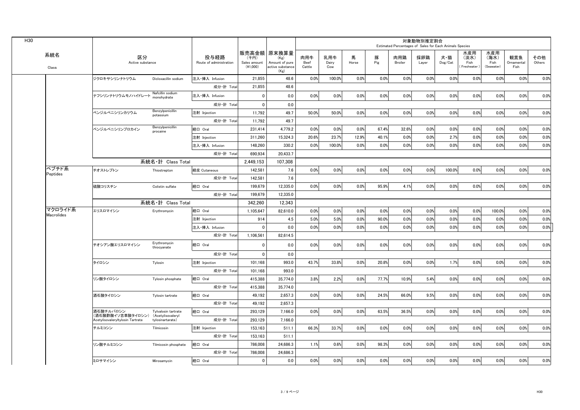| 販売高金額 原末換算量<br>水産用<br>水産用<br>系統名<br>区分<br>投与経路<br>肉用牛<br>乳用牛<br>馬<br>豚<br>採卵鶏<br>犬・猫<br>(海水)<br>観賞魚<br>(千円)<br>肉用鶏<br>(淡水)<br>(Kg)<br>Pig<br>Dog/Cat<br>Sales amount<br>Amount of pure<br>Beef<br>Fish<br>Active substance<br>Route of administration<br>Dairy<br>Horse<br>Broiler<br>Layer<br>Fish<br>Ornamental<br>$(*1,000)$<br>Cattle<br>Freshwater<br>(Seawater)<br>active substance<br>Cow<br>Fish<br>Class<br>(Kg)<br>0.0%<br>0.0%<br>0.0%<br>0.0%<br>0.0%<br>0.0%<br>ジクロキサシリンナトリウム<br>注入·挿入 Infusion<br>21,855<br>48.6<br>0.0%<br>100.0%<br>0.0%<br>0.0%<br>Dicloxacillin sodium<br>成分·計 Total<br>21,855<br>48.6<br>Nafcillin sodium<br>0.0%<br>$\mathbf 0$<br>0.0<br>0.0%<br>0.0%<br>0.0%<br>0.0%<br>0.0%<br>0.0%<br>0.0%<br>0.0%<br>0.0%<br>ナフシリンナトリウムモノハイドレート<br>注入·挿入 Infusion<br>monohvdrate<br>成分·計 Total<br>$\mathbf 0$<br>0.0<br>Benzylpenicillin<br>ベンジルペニシリンカリウム<br>注射 Injection<br>11,792<br>49.7<br>50.0%<br>50.0%<br>0.0%<br>0.0%<br>0.0%<br>0.0%<br>0.0%<br>0.0%<br>0.0%<br>0.0%<br>potassium<br>49.7<br>成分·計 Total<br>11,792<br>Benzylpenicillin<br>経口 Oral<br>231.414<br>4.779.2<br>0.0%<br>0.0%<br>0.0%<br>67.4%<br>32.6%<br>0.0%<br>0.0%<br>0.0%<br>0.0%<br>0.0%<br>ベンジルペニシリンプロカイン<br>procaine<br>注射 Injection<br>311,260<br>15,324.3<br>20.6%<br>23.7%<br>12.9%<br>40.1%<br>0.0%<br>0.0%<br>2.7%<br>0.0%<br>0.0%<br>0.0%<br>注入·挿入 Infusion<br>148.260<br>330.2<br>100.0%<br>0.0%<br>0.0%<br>0.0%<br>0.0%<br>0.0%<br>0.0%<br>0.0%<br>0.0%<br>0.0%<br>20,433.7<br>成分·計 Total<br>690.934<br>系統名·計 Class Total<br>2.449.153<br>107.308<br>ペプチド系<br>0.0%<br>0.0%<br>0.0%<br>チオストレプトン<br>経皮 Cutaneous<br>7.6<br>0.0%<br>0.0%<br>0.0%<br>0.0%<br>100.0%<br>0.0%<br>0.0%<br>Thiostrepton<br>142.581<br>Peptides<br>142,581<br>7.6<br>成分·計 Total<br>経口 Oral<br>0.0%<br>0.0%<br>95.9%<br>4.1%<br>0.0%<br>0.0%<br>0.0%<br>0.0%<br>0.0%<br>硫酸コリスチン<br>199.679<br>12.335.0<br>0.0%<br>Colistin sulfate<br>成分·計 Total<br>12.335.0<br>199.679<br>系統名·計 Class Total<br>342.260<br>12.343<br>マクロライド系<br>経口 Oral<br>0.0%<br>エリスロマイシン<br>1.105.647<br>82.610.0<br>0.0%<br>0.0%<br>0.0%<br>0.0%<br>0.0%<br>0.0%<br>0.0%<br>100.0%<br>0.0%<br>Erythromycin<br>Macrolides<br>0.0%<br>注射 Injection<br>4.5<br>5.0%<br>5.0%<br>0.0%<br>90.0%<br>0.0%<br>0.0%<br>0.0%<br>0.0%<br>0.0%<br>914<br>注入·挿入 Infusion<br>0<br>0.0<br>0.0%<br>0.0%<br>0.0%<br>0.0%<br>0.0%<br>0.0%<br>0.0%<br>0.0%<br>0.0%<br>0.0%<br>1,106,561<br>82,614.5<br>成分·計 Total<br>Erythromycin<br>経口 Oral<br>0.0%<br>0.0%<br>0.0%<br>チオシアン酸エリスロマイシン<br>0.0<br>0.0%<br>0.0%<br>0.0%<br>0.0%<br>0.0%<br>0.0%<br>0.0%<br>0<br>thiocyanate<br>成分·計 Total<br>$\mathbf 0$<br>0.0<br>33.8%<br>0.0%<br>20.8%<br>0.0%<br>0.0%<br>1.7%<br>0.0%<br>0.0%<br>101.168<br>993.0<br>43.7%<br>0.0%<br>タイロシン<br>注射 Injection<br>Tylosin<br>成分·計 Total<br>101,168<br>993.0<br>経口 Oral<br>0.0%<br>77.7%<br>10.9%<br>5.4%<br>0.0%<br>0.0%<br>415.388<br>35,774.0<br>3.8%<br>2.2%<br>0.0%<br>0.0%<br>リン酸タイロシン<br>Tylosin phosphate<br>成分·計 Total<br>415.388<br>35,774.0<br>9.5%<br>経口 Oral<br>2,657.3<br>0.0%<br>0.0%<br>0.0%<br>24.5%<br>66.0%<br>0.0%<br>0.0%<br>0.0%<br>0.0%<br>酒石酸タイロシン<br>49,192<br>Tylosin tartrate<br>成分·計 Total<br>49.192<br>2.657.3<br>0.0%<br>0.0%<br>0.0%<br>63.5%<br>36.5%<br>0.0%<br>0.0%<br>0.0%<br>0.0%<br>0.0%<br>酒石酸チルバロシン<br>経口 Oral<br>293.129<br>7,166.0<br>Tylvalosin tartrate<br>(酒石酸酢酸イソ吉草酸タイロシン)<br>(Acetylisovaleryl<br>成分·計 Total<br>293.129<br>7.166.0<br>Acetylisovaleryltylosin Tartrate<br>tylosinartarate)<br>注射 Injection<br>66.3%<br>33.7%<br>0.0%<br>0.0%<br>0.0%<br>0.0%<br>0.0%<br>0.0%<br>0.0%<br>0.0%<br>チルミコシン<br>Tilmicosin<br>153,163<br>511.1<br>成分·計 Total<br>153,163<br>511.1<br>経口 Oral<br>786,008<br>24,686.3<br>1.1%<br>0.6%<br>0.0%<br>98.3%<br>0.0%<br>0.0%<br>0.0%<br>0.0%<br>0.0%<br>0.0%<br>リン酸チルミコシン<br>Tilmicosin phosphate<br>成分·計 Total<br>786,008<br>24,686.3<br>経口 Oral<br>0.0<br>0.0%<br>0.0%<br>0.0%<br>0.0%<br>0.0%<br>0.0%<br>0.0%<br>0.0%<br>0.0%<br>0.0%<br>ミロサマイシン<br>0<br>Mirosamycin |  |  |  |  |  | Estimated Percentages of Sales for Each Animals Species | 対象動物別推定割合 |  |  |               |
|-----------------------------------------------------------------------------------------------------------------------------------------------------------------------------------------------------------------------------------------------------------------------------------------------------------------------------------------------------------------------------------------------------------------------------------------------------------------------------------------------------------------------------------------------------------------------------------------------------------------------------------------------------------------------------------------------------------------------------------------------------------------------------------------------------------------------------------------------------------------------------------------------------------------------------------------------------------------------------------------------------------------------------------------------------------------------------------------------------------------------------------------------------------------------------------------------------------------------------------------------------------------------------------------------------------------------------------------------------------------------------------------------------------------------------------------------------------------------------------------------------------------------------------------------------------------------------------------------------------------------------------------------------------------------------------------------------------------------------------------------------------------------------------------------------------------------------------------------------------------------------------------------------------------------------------------------------------------------------------------------------------------------------------------------------------------------------------------------------------------------------------------------------------------------------------------------------------------------------------------------------------------------------------------------------------------------------------------------------------------------------------------------------------------------------------------------------------------------------------------------------------------------------------------------------------------------------------------------------------------------------------------------------------------------------------------------------------------------------------------------------------------------------------------------------------------------------------------------------------------------------------------------------------------------------------------------------------------------------------------------------------------------------------------------------------------------------------------------------------------------------------------------------------------------------------------------------------------------------------------------------------------------------------------------------------------------------------------------------------------------------------------------------------------------------------------------------------------------------------------------------------------------------------------------------------------------------------------------------------------------------------------------------------------------------------------------------------------------------------------------------------------------------------------------------------------------------------------------------------------------------------------------------------------------------------------------------------------------------------------------------------------------|--|--|--|--|--|---------------------------------------------------------|-----------|--|--|---------------|
|                                                                                                                                                                                                                                                                                                                                                                                                                                                                                                                                                                                                                                                                                                                                                                                                                                                                                                                                                                                                                                                                                                                                                                                                                                                                                                                                                                                                                                                                                                                                                                                                                                                                                                                                                                                                                                                                                                                                                                                                                                                                                                                                                                                                                                                                                                                                                                                                                                                                                                                                                                                                                                                                                                                                                                                                                                                                                                                                                                                                                                                                                                                                                                                                                                                                                                                                                                                                                                                                                                                                                                                                                                                                                                                                                                                                                                                                                                                                                                                                                       |  |  |  |  |  |                                                         |           |  |  | その他<br>Others |
|                                                                                                                                                                                                                                                                                                                                                                                                                                                                                                                                                                                                                                                                                                                                                                                                                                                                                                                                                                                                                                                                                                                                                                                                                                                                                                                                                                                                                                                                                                                                                                                                                                                                                                                                                                                                                                                                                                                                                                                                                                                                                                                                                                                                                                                                                                                                                                                                                                                                                                                                                                                                                                                                                                                                                                                                                                                                                                                                                                                                                                                                                                                                                                                                                                                                                                                                                                                                                                                                                                                                                                                                                                                                                                                                                                                                                                                                                                                                                                                                                       |  |  |  |  |  |                                                         |           |  |  | 0.0%          |
|                                                                                                                                                                                                                                                                                                                                                                                                                                                                                                                                                                                                                                                                                                                                                                                                                                                                                                                                                                                                                                                                                                                                                                                                                                                                                                                                                                                                                                                                                                                                                                                                                                                                                                                                                                                                                                                                                                                                                                                                                                                                                                                                                                                                                                                                                                                                                                                                                                                                                                                                                                                                                                                                                                                                                                                                                                                                                                                                                                                                                                                                                                                                                                                                                                                                                                                                                                                                                                                                                                                                                                                                                                                                                                                                                                                                                                                                                                                                                                                                                       |  |  |  |  |  |                                                         |           |  |  |               |
|                                                                                                                                                                                                                                                                                                                                                                                                                                                                                                                                                                                                                                                                                                                                                                                                                                                                                                                                                                                                                                                                                                                                                                                                                                                                                                                                                                                                                                                                                                                                                                                                                                                                                                                                                                                                                                                                                                                                                                                                                                                                                                                                                                                                                                                                                                                                                                                                                                                                                                                                                                                                                                                                                                                                                                                                                                                                                                                                                                                                                                                                                                                                                                                                                                                                                                                                                                                                                                                                                                                                                                                                                                                                                                                                                                                                                                                                                                                                                                                                                       |  |  |  |  |  |                                                         |           |  |  | 0.0%          |
|                                                                                                                                                                                                                                                                                                                                                                                                                                                                                                                                                                                                                                                                                                                                                                                                                                                                                                                                                                                                                                                                                                                                                                                                                                                                                                                                                                                                                                                                                                                                                                                                                                                                                                                                                                                                                                                                                                                                                                                                                                                                                                                                                                                                                                                                                                                                                                                                                                                                                                                                                                                                                                                                                                                                                                                                                                                                                                                                                                                                                                                                                                                                                                                                                                                                                                                                                                                                                                                                                                                                                                                                                                                                                                                                                                                                                                                                                                                                                                                                                       |  |  |  |  |  |                                                         |           |  |  |               |
|                                                                                                                                                                                                                                                                                                                                                                                                                                                                                                                                                                                                                                                                                                                                                                                                                                                                                                                                                                                                                                                                                                                                                                                                                                                                                                                                                                                                                                                                                                                                                                                                                                                                                                                                                                                                                                                                                                                                                                                                                                                                                                                                                                                                                                                                                                                                                                                                                                                                                                                                                                                                                                                                                                                                                                                                                                                                                                                                                                                                                                                                                                                                                                                                                                                                                                                                                                                                                                                                                                                                                                                                                                                                                                                                                                                                                                                                                                                                                                                                                       |  |  |  |  |  |                                                         |           |  |  | 0.0%          |
|                                                                                                                                                                                                                                                                                                                                                                                                                                                                                                                                                                                                                                                                                                                                                                                                                                                                                                                                                                                                                                                                                                                                                                                                                                                                                                                                                                                                                                                                                                                                                                                                                                                                                                                                                                                                                                                                                                                                                                                                                                                                                                                                                                                                                                                                                                                                                                                                                                                                                                                                                                                                                                                                                                                                                                                                                                                                                                                                                                                                                                                                                                                                                                                                                                                                                                                                                                                                                                                                                                                                                                                                                                                                                                                                                                                                                                                                                                                                                                                                                       |  |  |  |  |  |                                                         |           |  |  |               |
|                                                                                                                                                                                                                                                                                                                                                                                                                                                                                                                                                                                                                                                                                                                                                                                                                                                                                                                                                                                                                                                                                                                                                                                                                                                                                                                                                                                                                                                                                                                                                                                                                                                                                                                                                                                                                                                                                                                                                                                                                                                                                                                                                                                                                                                                                                                                                                                                                                                                                                                                                                                                                                                                                                                                                                                                                                                                                                                                                                                                                                                                                                                                                                                                                                                                                                                                                                                                                                                                                                                                                                                                                                                                                                                                                                                                                                                                                                                                                                                                                       |  |  |  |  |  |                                                         |           |  |  | 0.0%          |
|                                                                                                                                                                                                                                                                                                                                                                                                                                                                                                                                                                                                                                                                                                                                                                                                                                                                                                                                                                                                                                                                                                                                                                                                                                                                                                                                                                                                                                                                                                                                                                                                                                                                                                                                                                                                                                                                                                                                                                                                                                                                                                                                                                                                                                                                                                                                                                                                                                                                                                                                                                                                                                                                                                                                                                                                                                                                                                                                                                                                                                                                                                                                                                                                                                                                                                                                                                                                                                                                                                                                                                                                                                                                                                                                                                                                                                                                                                                                                                                                                       |  |  |  |  |  |                                                         |           |  |  | 0.0%          |
|                                                                                                                                                                                                                                                                                                                                                                                                                                                                                                                                                                                                                                                                                                                                                                                                                                                                                                                                                                                                                                                                                                                                                                                                                                                                                                                                                                                                                                                                                                                                                                                                                                                                                                                                                                                                                                                                                                                                                                                                                                                                                                                                                                                                                                                                                                                                                                                                                                                                                                                                                                                                                                                                                                                                                                                                                                                                                                                                                                                                                                                                                                                                                                                                                                                                                                                                                                                                                                                                                                                                                                                                                                                                                                                                                                                                                                                                                                                                                                                                                       |  |  |  |  |  |                                                         |           |  |  | 0.0%          |
|                                                                                                                                                                                                                                                                                                                                                                                                                                                                                                                                                                                                                                                                                                                                                                                                                                                                                                                                                                                                                                                                                                                                                                                                                                                                                                                                                                                                                                                                                                                                                                                                                                                                                                                                                                                                                                                                                                                                                                                                                                                                                                                                                                                                                                                                                                                                                                                                                                                                                                                                                                                                                                                                                                                                                                                                                                                                                                                                                                                                                                                                                                                                                                                                                                                                                                                                                                                                                                                                                                                                                                                                                                                                                                                                                                                                                                                                                                                                                                                                                       |  |  |  |  |  |                                                         |           |  |  |               |
|                                                                                                                                                                                                                                                                                                                                                                                                                                                                                                                                                                                                                                                                                                                                                                                                                                                                                                                                                                                                                                                                                                                                                                                                                                                                                                                                                                                                                                                                                                                                                                                                                                                                                                                                                                                                                                                                                                                                                                                                                                                                                                                                                                                                                                                                                                                                                                                                                                                                                                                                                                                                                                                                                                                                                                                                                                                                                                                                                                                                                                                                                                                                                                                                                                                                                                                                                                                                                                                                                                                                                                                                                                                                                                                                                                                                                                                                                                                                                                                                                       |  |  |  |  |  |                                                         |           |  |  |               |
|                                                                                                                                                                                                                                                                                                                                                                                                                                                                                                                                                                                                                                                                                                                                                                                                                                                                                                                                                                                                                                                                                                                                                                                                                                                                                                                                                                                                                                                                                                                                                                                                                                                                                                                                                                                                                                                                                                                                                                                                                                                                                                                                                                                                                                                                                                                                                                                                                                                                                                                                                                                                                                                                                                                                                                                                                                                                                                                                                                                                                                                                                                                                                                                                                                                                                                                                                                                                                                                                                                                                                                                                                                                                                                                                                                                                                                                                                                                                                                                                                       |  |  |  |  |  |                                                         |           |  |  | 0.0%          |
|                                                                                                                                                                                                                                                                                                                                                                                                                                                                                                                                                                                                                                                                                                                                                                                                                                                                                                                                                                                                                                                                                                                                                                                                                                                                                                                                                                                                                                                                                                                                                                                                                                                                                                                                                                                                                                                                                                                                                                                                                                                                                                                                                                                                                                                                                                                                                                                                                                                                                                                                                                                                                                                                                                                                                                                                                                                                                                                                                                                                                                                                                                                                                                                                                                                                                                                                                                                                                                                                                                                                                                                                                                                                                                                                                                                                                                                                                                                                                                                                                       |  |  |  |  |  |                                                         |           |  |  |               |
|                                                                                                                                                                                                                                                                                                                                                                                                                                                                                                                                                                                                                                                                                                                                                                                                                                                                                                                                                                                                                                                                                                                                                                                                                                                                                                                                                                                                                                                                                                                                                                                                                                                                                                                                                                                                                                                                                                                                                                                                                                                                                                                                                                                                                                                                                                                                                                                                                                                                                                                                                                                                                                                                                                                                                                                                                                                                                                                                                                                                                                                                                                                                                                                                                                                                                                                                                                                                                                                                                                                                                                                                                                                                                                                                                                                                                                                                                                                                                                                                                       |  |  |  |  |  |                                                         |           |  |  | 0.0%          |
|                                                                                                                                                                                                                                                                                                                                                                                                                                                                                                                                                                                                                                                                                                                                                                                                                                                                                                                                                                                                                                                                                                                                                                                                                                                                                                                                                                                                                                                                                                                                                                                                                                                                                                                                                                                                                                                                                                                                                                                                                                                                                                                                                                                                                                                                                                                                                                                                                                                                                                                                                                                                                                                                                                                                                                                                                                                                                                                                                                                                                                                                                                                                                                                                                                                                                                                                                                                                                                                                                                                                                                                                                                                                                                                                                                                                                                                                                                                                                                                                                       |  |  |  |  |  |                                                         |           |  |  |               |
|                                                                                                                                                                                                                                                                                                                                                                                                                                                                                                                                                                                                                                                                                                                                                                                                                                                                                                                                                                                                                                                                                                                                                                                                                                                                                                                                                                                                                                                                                                                                                                                                                                                                                                                                                                                                                                                                                                                                                                                                                                                                                                                                                                                                                                                                                                                                                                                                                                                                                                                                                                                                                                                                                                                                                                                                                                                                                                                                                                                                                                                                                                                                                                                                                                                                                                                                                                                                                                                                                                                                                                                                                                                                                                                                                                                                                                                                                                                                                                                                                       |  |  |  |  |  |                                                         |           |  |  |               |
|                                                                                                                                                                                                                                                                                                                                                                                                                                                                                                                                                                                                                                                                                                                                                                                                                                                                                                                                                                                                                                                                                                                                                                                                                                                                                                                                                                                                                                                                                                                                                                                                                                                                                                                                                                                                                                                                                                                                                                                                                                                                                                                                                                                                                                                                                                                                                                                                                                                                                                                                                                                                                                                                                                                                                                                                                                                                                                                                                                                                                                                                                                                                                                                                                                                                                                                                                                                                                                                                                                                                                                                                                                                                                                                                                                                                                                                                                                                                                                                                                       |  |  |  |  |  |                                                         |           |  |  | 0.0%          |
|                                                                                                                                                                                                                                                                                                                                                                                                                                                                                                                                                                                                                                                                                                                                                                                                                                                                                                                                                                                                                                                                                                                                                                                                                                                                                                                                                                                                                                                                                                                                                                                                                                                                                                                                                                                                                                                                                                                                                                                                                                                                                                                                                                                                                                                                                                                                                                                                                                                                                                                                                                                                                                                                                                                                                                                                                                                                                                                                                                                                                                                                                                                                                                                                                                                                                                                                                                                                                                                                                                                                                                                                                                                                                                                                                                                                                                                                                                                                                                                                                       |  |  |  |  |  |                                                         |           |  |  | 0.0%          |
|                                                                                                                                                                                                                                                                                                                                                                                                                                                                                                                                                                                                                                                                                                                                                                                                                                                                                                                                                                                                                                                                                                                                                                                                                                                                                                                                                                                                                                                                                                                                                                                                                                                                                                                                                                                                                                                                                                                                                                                                                                                                                                                                                                                                                                                                                                                                                                                                                                                                                                                                                                                                                                                                                                                                                                                                                                                                                                                                                                                                                                                                                                                                                                                                                                                                                                                                                                                                                                                                                                                                                                                                                                                                                                                                                                                                                                                                                                                                                                                                                       |  |  |  |  |  |                                                         |           |  |  | 0.0%          |
|                                                                                                                                                                                                                                                                                                                                                                                                                                                                                                                                                                                                                                                                                                                                                                                                                                                                                                                                                                                                                                                                                                                                                                                                                                                                                                                                                                                                                                                                                                                                                                                                                                                                                                                                                                                                                                                                                                                                                                                                                                                                                                                                                                                                                                                                                                                                                                                                                                                                                                                                                                                                                                                                                                                                                                                                                                                                                                                                                                                                                                                                                                                                                                                                                                                                                                                                                                                                                                                                                                                                                                                                                                                                                                                                                                                                                                                                                                                                                                                                                       |  |  |  |  |  |                                                         |           |  |  |               |
|                                                                                                                                                                                                                                                                                                                                                                                                                                                                                                                                                                                                                                                                                                                                                                                                                                                                                                                                                                                                                                                                                                                                                                                                                                                                                                                                                                                                                                                                                                                                                                                                                                                                                                                                                                                                                                                                                                                                                                                                                                                                                                                                                                                                                                                                                                                                                                                                                                                                                                                                                                                                                                                                                                                                                                                                                                                                                                                                                                                                                                                                                                                                                                                                                                                                                                                                                                                                                                                                                                                                                                                                                                                                                                                                                                                                                                                                                                                                                                                                                       |  |  |  |  |  |                                                         |           |  |  | 0.0%          |
|                                                                                                                                                                                                                                                                                                                                                                                                                                                                                                                                                                                                                                                                                                                                                                                                                                                                                                                                                                                                                                                                                                                                                                                                                                                                                                                                                                                                                                                                                                                                                                                                                                                                                                                                                                                                                                                                                                                                                                                                                                                                                                                                                                                                                                                                                                                                                                                                                                                                                                                                                                                                                                                                                                                                                                                                                                                                                                                                                                                                                                                                                                                                                                                                                                                                                                                                                                                                                                                                                                                                                                                                                                                                                                                                                                                                                                                                                                                                                                                                                       |  |  |  |  |  |                                                         |           |  |  |               |
|                                                                                                                                                                                                                                                                                                                                                                                                                                                                                                                                                                                                                                                                                                                                                                                                                                                                                                                                                                                                                                                                                                                                                                                                                                                                                                                                                                                                                                                                                                                                                                                                                                                                                                                                                                                                                                                                                                                                                                                                                                                                                                                                                                                                                                                                                                                                                                                                                                                                                                                                                                                                                                                                                                                                                                                                                                                                                                                                                                                                                                                                                                                                                                                                                                                                                                                                                                                                                                                                                                                                                                                                                                                                                                                                                                                                                                                                                                                                                                                                                       |  |  |  |  |  |                                                         |           |  |  | 0.0%          |
|                                                                                                                                                                                                                                                                                                                                                                                                                                                                                                                                                                                                                                                                                                                                                                                                                                                                                                                                                                                                                                                                                                                                                                                                                                                                                                                                                                                                                                                                                                                                                                                                                                                                                                                                                                                                                                                                                                                                                                                                                                                                                                                                                                                                                                                                                                                                                                                                                                                                                                                                                                                                                                                                                                                                                                                                                                                                                                                                                                                                                                                                                                                                                                                                                                                                                                                                                                                                                                                                                                                                                                                                                                                                                                                                                                                                                                                                                                                                                                                                                       |  |  |  |  |  |                                                         |           |  |  |               |
|                                                                                                                                                                                                                                                                                                                                                                                                                                                                                                                                                                                                                                                                                                                                                                                                                                                                                                                                                                                                                                                                                                                                                                                                                                                                                                                                                                                                                                                                                                                                                                                                                                                                                                                                                                                                                                                                                                                                                                                                                                                                                                                                                                                                                                                                                                                                                                                                                                                                                                                                                                                                                                                                                                                                                                                                                                                                                                                                                                                                                                                                                                                                                                                                                                                                                                                                                                                                                                                                                                                                                                                                                                                                                                                                                                                                                                                                                                                                                                                                                       |  |  |  |  |  |                                                         |           |  |  | 0.0%          |
|                                                                                                                                                                                                                                                                                                                                                                                                                                                                                                                                                                                                                                                                                                                                                                                                                                                                                                                                                                                                                                                                                                                                                                                                                                                                                                                                                                                                                                                                                                                                                                                                                                                                                                                                                                                                                                                                                                                                                                                                                                                                                                                                                                                                                                                                                                                                                                                                                                                                                                                                                                                                                                                                                                                                                                                                                                                                                                                                                                                                                                                                                                                                                                                                                                                                                                                                                                                                                                                                                                                                                                                                                                                                                                                                                                                                                                                                                                                                                                                                                       |  |  |  |  |  |                                                         |           |  |  |               |
|                                                                                                                                                                                                                                                                                                                                                                                                                                                                                                                                                                                                                                                                                                                                                                                                                                                                                                                                                                                                                                                                                                                                                                                                                                                                                                                                                                                                                                                                                                                                                                                                                                                                                                                                                                                                                                                                                                                                                                                                                                                                                                                                                                                                                                                                                                                                                                                                                                                                                                                                                                                                                                                                                                                                                                                                                                                                                                                                                                                                                                                                                                                                                                                                                                                                                                                                                                                                                                                                                                                                                                                                                                                                                                                                                                                                                                                                                                                                                                                                                       |  |  |  |  |  |                                                         |           |  |  | 0.0%          |
|                                                                                                                                                                                                                                                                                                                                                                                                                                                                                                                                                                                                                                                                                                                                                                                                                                                                                                                                                                                                                                                                                                                                                                                                                                                                                                                                                                                                                                                                                                                                                                                                                                                                                                                                                                                                                                                                                                                                                                                                                                                                                                                                                                                                                                                                                                                                                                                                                                                                                                                                                                                                                                                                                                                                                                                                                                                                                                                                                                                                                                                                                                                                                                                                                                                                                                                                                                                                                                                                                                                                                                                                                                                                                                                                                                                                                                                                                                                                                                                                                       |  |  |  |  |  |                                                         |           |  |  |               |
|                                                                                                                                                                                                                                                                                                                                                                                                                                                                                                                                                                                                                                                                                                                                                                                                                                                                                                                                                                                                                                                                                                                                                                                                                                                                                                                                                                                                                                                                                                                                                                                                                                                                                                                                                                                                                                                                                                                                                                                                                                                                                                                                                                                                                                                                                                                                                                                                                                                                                                                                                                                                                                                                                                                                                                                                                                                                                                                                                                                                                                                                                                                                                                                                                                                                                                                                                                                                                                                                                                                                                                                                                                                                                                                                                                                                                                                                                                                                                                                                                       |  |  |  |  |  |                                                         |           |  |  | 0.0%          |
|                                                                                                                                                                                                                                                                                                                                                                                                                                                                                                                                                                                                                                                                                                                                                                                                                                                                                                                                                                                                                                                                                                                                                                                                                                                                                                                                                                                                                                                                                                                                                                                                                                                                                                                                                                                                                                                                                                                                                                                                                                                                                                                                                                                                                                                                                                                                                                                                                                                                                                                                                                                                                                                                                                                                                                                                                                                                                                                                                                                                                                                                                                                                                                                                                                                                                                                                                                                                                                                                                                                                                                                                                                                                                                                                                                                                                                                                                                                                                                                                                       |  |  |  |  |  |                                                         |           |  |  |               |
|                                                                                                                                                                                                                                                                                                                                                                                                                                                                                                                                                                                                                                                                                                                                                                                                                                                                                                                                                                                                                                                                                                                                                                                                                                                                                                                                                                                                                                                                                                                                                                                                                                                                                                                                                                                                                                                                                                                                                                                                                                                                                                                                                                                                                                                                                                                                                                                                                                                                                                                                                                                                                                                                                                                                                                                                                                                                                                                                                                                                                                                                                                                                                                                                                                                                                                                                                                                                                                                                                                                                                                                                                                                                                                                                                                                                                                                                                                                                                                                                                       |  |  |  |  |  |                                                         |           |  |  | 0.0%          |
|                                                                                                                                                                                                                                                                                                                                                                                                                                                                                                                                                                                                                                                                                                                                                                                                                                                                                                                                                                                                                                                                                                                                                                                                                                                                                                                                                                                                                                                                                                                                                                                                                                                                                                                                                                                                                                                                                                                                                                                                                                                                                                                                                                                                                                                                                                                                                                                                                                                                                                                                                                                                                                                                                                                                                                                                                                                                                                                                                                                                                                                                                                                                                                                                                                                                                                                                                                                                                                                                                                                                                                                                                                                                                                                                                                                                                                                                                                                                                                                                                       |  |  |  |  |  |                                                         |           |  |  |               |
|                                                                                                                                                                                                                                                                                                                                                                                                                                                                                                                                                                                                                                                                                                                                                                                                                                                                                                                                                                                                                                                                                                                                                                                                                                                                                                                                                                                                                                                                                                                                                                                                                                                                                                                                                                                                                                                                                                                                                                                                                                                                                                                                                                                                                                                                                                                                                                                                                                                                                                                                                                                                                                                                                                                                                                                                                                                                                                                                                                                                                                                                                                                                                                                                                                                                                                                                                                                                                                                                                                                                                                                                                                                                                                                                                                                                                                                                                                                                                                                                                       |  |  |  |  |  |                                                         |           |  |  | 0.0%          |
|                                                                                                                                                                                                                                                                                                                                                                                                                                                                                                                                                                                                                                                                                                                                                                                                                                                                                                                                                                                                                                                                                                                                                                                                                                                                                                                                                                                                                                                                                                                                                                                                                                                                                                                                                                                                                                                                                                                                                                                                                                                                                                                                                                                                                                                                                                                                                                                                                                                                                                                                                                                                                                                                                                                                                                                                                                                                                                                                                                                                                                                                                                                                                                                                                                                                                                                                                                                                                                                                                                                                                                                                                                                                                                                                                                                                                                                                                                                                                                                                                       |  |  |  |  |  |                                                         |           |  |  |               |
|                                                                                                                                                                                                                                                                                                                                                                                                                                                                                                                                                                                                                                                                                                                                                                                                                                                                                                                                                                                                                                                                                                                                                                                                                                                                                                                                                                                                                                                                                                                                                                                                                                                                                                                                                                                                                                                                                                                                                                                                                                                                                                                                                                                                                                                                                                                                                                                                                                                                                                                                                                                                                                                                                                                                                                                                                                                                                                                                                                                                                                                                                                                                                                                                                                                                                                                                                                                                                                                                                                                                                                                                                                                                                                                                                                                                                                                                                                                                                                                                                       |  |  |  |  |  |                                                         |           |  |  | 0.0%          |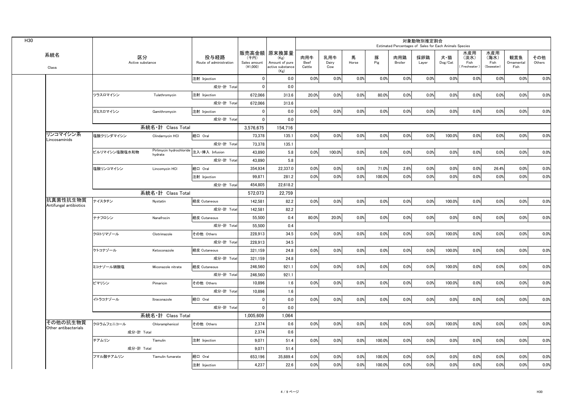| 販売高金額   原末換算量<br>系統名<br>区分<br>投与経路<br>肉用牛<br>乳用牛<br>馬<br>豚<br>肉用鶏<br>(千円)<br>(Kg)<br>Pig<br>Active substance<br>Amount of pure<br>Beef<br>Route of administration<br>Sales amount<br>Dairy<br>Horse<br>Broiler<br>$(*1,000)$<br>Cattle<br>active substance<br>Cow<br>Class<br>(Kg)<br>0.0%<br>0.0%<br>$\mathbf{0}$<br>0.0<br>0.0%<br>0.0%<br>注射 Injection<br>成分·計 Total<br>$\Omega$<br>0.0<br>20.0%<br>0.0%<br>0.0%<br>80.0%<br>ツラスロマイシン<br>注射 Injection<br>672,066<br>313.6<br>Tulathromycin<br>672,066<br>成分·計 Total<br>313.6<br>0.0<br>0.0%<br>0.0%<br>0.0%<br>0.0%<br>ガミスロマイシン<br>Gamithromycin<br>注射 Injection<br>$\Omega$<br>成分·計 Total<br>$\Omega$<br>0.0<br>系統名·計 Class Total<br>3.576.675<br>154.716<br>リンコマイシン系<br>塩酸クリンダマイシン<br>73,378<br>135.1<br>0.0%<br>0.0%<br>0.0%<br>0.0%<br>Clindarnvcin HCI<br>経口 Oral | 水産用<br>水産用<br>採卵鶏<br>観賞魚<br>犬・猫<br>(淡水)<br>(海水)<br>その他<br>$\mathsf{Dog}/\mathsf{Cat}$<br>Fish<br>Fish<br>Others<br>Ornamental<br>Layer<br>Freshwater<br>(Seawater)<br>Fish<br>0.0%<br>0.0%<br>0.0%<br>0.0%<br>0.0%<br>0.0%<br>0.0%<br>0.0%<br>0.0%<br>0.0%<br>0.0%<br>0.0%<br>0.0%<br>0.0%<br>0.0%<br>0.0%<br>0.0%<br>0.0%<br>0.0%<br>0.0%<br>0.0%<br>0.0%<br>0.0%<br>100.0%<br>0.0%<br>0.0%<br>0.0%<br>0.0%<br>0.0%<br>0.0%<br>0.0%<br>0.0%<br>0.0%<br>0.0%<br>0.0% |
|---------------------------------------------------------------------------------------------------------------------------------------------------------------------------------------------------------------------------------------------------------------------------------------------------------------------------------------------------------------------------------------------------------------------------------------------------------------------------------------------------------------------------------------------------------------------------------------------------------------------------------------------------------------------------------------------------------------------------------------------------------------------------------------------------------------------------|----------------------------------------------------------------------------------------------------------------------------------------------------------------------------------------------------------------------------------------------------------------------------------------------------------------------------------------------------------------------------------------------------------------------------------------------------------------------|
|                                                                                                                                                                                                                                                                                                                                                                                                                                                                                                                                                                                                                                                                                                                                                                                                                           |                                                                                                                                                                                                                                                                                                                                                                                                                                                                      |
|                                                                                                                                                                                                                                                                                                                                                                                                                                                                                                                                                                                                                                                                                                                                                                                                                           |                                                                                                                                                                                                                                                                                                                                                                                                                                                                      |
|                                                                                                                                                                                                                                                                                                                                                                                                                                                                                                                                                                                                                                                                                                                                                                                                                           |                                                                                                                                                                                                                                                                                                                                                                                                                                                                      |
|                                                                                                                                                                                                                                                                                                                                                                                                                                                                                                                                                                                                                                                                                                                                                                                                                           |                                                                                                                                                                                                                                                                                                                                                                                                                                                                      |
|                                                                                                                                                                                                                                                                                                                                                                                                                                                                                                                                                                                                                                                                                                                                                                                                                           |                                                                                                                                                                                                                                                                                                                                                                                                                                                                      |
|                                                                                                                                                                                                                                                                                                                                                                                                                                                                                                                                                                                                                                                                                                                                                                                                                           |                                                                                                                                                                                                                                                                                                                                                                                                                                                                      |
|                                                                                                                                                                                                                                                                                                                                                                                                                                                                                                                                                                                                                                                                                                                                                                                                                           |                                                                                                                                                                                                                                                                                                                                                                                                                                                                      |
|                                                                                                                                                                                                                                                                                                                                                                                                                                                                                                                                                                                                                                                                                                                                                                                                                           |                                                                                                                                                                                                                                                                                                                                                                                                                                                                      |
|                                                                                                                                                                                                                                                                                                                                                                                                                                                                                                                                                                                                                                                                                                                                                                                                                           |                                                                                                                                                                                                                                                                                                                                                                                                                                                                      |
| Lincosaminids<br>成分·計 Total<br>73,378<br>135.1                                                                                                                                                                                                                                                                                                                                                                                                                                                                                                                                                                                                                                                                                                                                                                            |                                                                                                                                                                                                                                                                                                                                                                                                                                                                      |
| Pirlimycin hydrochloride 注入·挿入 Infusion<br>100.0%<br>0.0%<br>0.0%<br>43,890<br>5.8<br>0.0%<br>ピルリマイシン塩酸塩水和物<br>hydrate                                                                                                                                                                                                                                                                                                                                                                                                                                                                                                                                                                                                                                                                                                    |                                                                                                                                                                                                                                                                                                                                                                                                                                                                      |
| 5.8<br>成分·計 Total<br>43,890                                                                                                                                                                                                                                                                                                                                                                                                                                                                                                                                                                                                                                                                                                                                                                                               |                                                                                                                                                                                                                                                                                                                                                                                                                                                                      |
| 塩酸リンコマイシン<br>経口 Oral<br>354,934<br>22,337.0<br>0.0%<br>0.0%<br>0.0%<br>71.0%<br>Lincomycin HCI                                                                                                                                                                                                                                                                                                                                                                                                                                                                                                                                                                                                                                                                                                                            | 2.6%<br>0.0%<br>0.0%<br>0.0%<br>26.4%<br>0.0%<br>0.0%                                                                                                                                                                                                                                                                                                                                                                                                                |
| 0.0%<br>0.0%<br>0.0%<br>100.0%<br>注射 Injection<br>99.871<br>281.2                                                                                                                                                                                                                                                                                                                                                                                                                                                                                                                                                                                                                                                                                                                                                         | 0.0%<br>0.0%<br>0.0%<br>0.0%<br>0.0%<br>0.0%<br>0.0%                                                                                                                                                                                                                                                                                                                                                                                                                 |
| 454.805<br>22.618.2<br>成分·計 Total                                                                                                                                                                                                                                                                                                                                                                                                                                                                                                                                                                                                                                                                                                                                                                                         |                                                                                                                                                                                                                                                                                                                                                                                                                                                                      |
| 系統名·計 Class Total<br>572,073<br>22,759                                                                                                                                                                                                                                                                                                                                                                                                                                                                                                                                                                                                                                                                                                                                                                                    |                                                                                                                                                                                                                                                                                                                                                                                                                                                                      |
| 抗真菌性抗生物質<br>0.0%<br>0.0%<br>0.0%<br>ナイスタチン<br>経皮 Cutaneous<br>142.581<br>82.2<br>0.0%<br>Nystatin                                                                                                                                                                                                                                                                                                                                                                                                                                                                                                                                                                                                                                                                                                                         | 0.0%<br>0.0%<br>0.0%<br>0.0%<br>100.0%<br>0.0%<br>0.0%                                                                                                                                                                                                                                                                                                                                                                                                               |
| Antifungal antibiotics<br>成分·計 Total<br>142.581<br>82.2                                                                                                                                                                                                                                                                                                                                                                                                                                                                                                                                                                                                                                                                                                                                                                   |                                                                                                                                                                                                                                                                                                                                                                                                                                                                      |
| ナナフロシン<br>経皮 Cutaneous<br>55,500<br>0.4<br>80.0%<br>20.0%<br>0.0%<br>0.0%<br>Nanafrocin                                                                                                                                                                                                                                                                                                                                                                                                                                                                                                                                                                                                                                                                                                                                   | 0.0%<br>0.0%<br>0.0%<br>0.0%<br>0.0%<br>0.0%<br>0.0%                                                                                                                                                                                                                                                                                                                                                                                                                 |
| 成分·計 Total<br>55,500<br>0.4                                                                                                                                                                                                                                                                                                                                                                                                                                                                                                                                                                                                                                                                                                                                                                                               |                                                                                                                                                                                                                                                                                                                                                                                                                                                                      |
| 34.5<br>0.0%<br>0.0%<br>0.0%<br>クロトリマゾール<br>その他 Others<br>228.913<br>0.0%<br>Clotrimazole                                                                                                                                                                                                                                                                                                                                                                                                                                                                                                                                                                                                                                                                                                                                 | 0.0%<br>0.0%<br>100.0%<br>0.0%<br>0.0%<br>0.0%<br>0.0%                                                                                                                                                                                                                                                                                                                                                                                                               |
| 成分·計 Total<br>228,913<br>34.5                                                                                                                                                                                                                                                                                                                                                                                                                                                                                                                                                                                                                                                                                                                                                                                             |                                                                                                                                                                                                                                                                                                                                                                                                                                                                      |
| 0.0%<br>0.0%<br>0.0%<br>ケトコナゾール<br>経皮 Cutaneous<br>321.159<br>24.8<br>0.0%<br>Ketoconazole                                                                                                                                                                                                                                                                                                                                                                                                                                                                                                                                                                                                                                                                                                                                | 0.0%<br>0.0%<br>0.0%<br>0.0%<br>100.0%<br>0.0%<br>0.0%                                                                                                                                                                                                                                                                                                                                                                                                               |
| 成分·計 Total<br>321.159<br>24.8                                                                                                                                                                                                                                                                                                                                                                                                                                                                                                                                                                                                                                                                                                                                                                                             |                                                                                                                                                                                                                                                                                                                                                                                                                                                                      |
| 0.0%<br>0.0%<br>246,560<br>921.1<br>0.0%<br>0.0%<br>ミコナゾール硝酸塩<br>経皮 Cutaneous<br>Miconazole nitrate                                                                                                                                                                                                                                                                                                                                                                                                                                                                                                                                                                                                                                                                                                                       | 0.0%<br>0.0%<br>0.0%<br>0.0%<br>0.0%<br>100.0%<br>0.0%                                                                                                                                                                                                                                                                                                                                                                                                               |
| 成分·計 Total<br>246.560<br>921.1                                                                                                                                                                                                                                                                                                                                                                                                                                                                                                                                                                                                                                                                                                                                                                                            |                                                                                                                                                                                                                                                                                                                                                                                                                                                                      |
| ピマリシン<br>その他 Others<br>0.0%<br>0.0%<br>0.0%<br>Pimaricin<br>10,896<br>1.6<br>0.0%                                                                                                                                                                                                                                                                                                                                                                                                                                                                                                                                                                                                                                                                                                                                         | 0.0%<br>0.0%<br>100.0%<br>0.0%<br>0.0%<br>0.0%<br>0.0%                                                                                                                                                                                                                                                                                                                                                                                                               |
| 成分·計 Total<br>1.6<br>10,896                                                                                                                                                                                                                                                                                                                                                                                                                                                                                                                                                                                                                                                                                                                                                                                               |                                                                                                                                                                                                                                                                                                                                                                                                                                                                      |
| 経口 Oral<br>0.0%<br>0.0%<br>0.0%<br>イトラコナゾール<br>0.0<br>0.0%<br>Itraconazole<br>$\mathbf{0}$                                                                                                                                                                                                                                                                                                                                                                                                                                                                                                                                                                                                                                                                                                                                | 0.0%<br>0.0%<br>0.0%<br>0.0%<br>0.0%<br>0.0%<br>0.0%                                                                                                                                                                                                                                                                                                                                                                                                                 |
| 成分·計 Total<br>0.0<br>$\mathbf{0}$                                                                                                                                                                                                                                                                                                                                                                                                                                                                                                                                                                                                                                                                                                                                                                                         |                                                                                                                                                                                                                                                                                                                                                                                                                                                                      |
| 系統名・計 Class Total<br>1,005,609<br>1,064                                                                                                                                                                                                                                                                                                                                                                                                                                                                                                                                                                                                                                                                                                                                                                                   |                                                                                                                                                                                                                                                                                                                                                                                                                                                                      |
| その他の抗生物質<br>0.0%<br>0.0%<br>クロラムフェニコール<br>2,374<br>0.6<br>0.0%<br>0.0%<br>Chloramphenicol<br>その他 Others                                                                                                                                                                                                                                                                                                                                                                                                                                                                                                                                                                                                                                                                                                                   | 0.0%<br>100.0%<br>0.0%<br>0.0%<br>0.0%<br>0.0%<br>0.0%                                                                                                                                                                                                                                                                                                                                                                                                               |
| Other antibacterials<br>成分·計 Total<br>2.374<br>0.6                                                                                                                                                                                                                                                                                                                                                                                                                                                                                                                                                                                                                                                                                                                                                                        |                                                                                                                                                                                                                                                                                                                                                                                                                                                                      |
| 9,071<br>51.4<br>0.0%<br>0.0%<br>0.0%<br>100.0%<br>チアムリン<br>注射 Injection<br>Tiamulin                                                                                                                                                                                                                                                                                                                                                                                                                                                                                                                                                                                                                                                                                                                                      | 0.0%<br>0.0%<br>0.0%<br>0.0%<br>0.0%<br>0.0%<br>0.0%                                                                                                                                                                                                                                                                                                                                                                                                                 |
| 成分·計 Total<br>9.071<br>51.4                                                                                                                                                                                                                                                                                                                                                                                                                                                                                                                                                                                                                                                                                                                                                                                               |                                                                                                                                                                                                                                                                                                                                                                                                                                                                      |
| 653,196<br>0.0%<br>100.0%<br>フマル酸チアムリン<br>Tiamulin fumarate<br>経口 Oral<br>35,889.4<br>0.0%<br>0.0%                                                                                                                                                                                                                                                                                                                                                                                                                                                                                                                                                                                                                                                                                                                        | 0.0%<br>0.0%<br>0.0%<br>0.0%<br>0.0%<br>0.0%<br>0.0%                                                                                                                                                                                                                                                                                                                                                                                                                 |
| 4.237<br>22.6<br>0.0%<br>0.0%<br>0.0%<br>100.0%<br>注射 Injection                                                                                                                                                                                                                                                                                                                                                                                                                                                                                                                                                                                                                                                                                                                                                           | 0.0%<br>0.0%<br>0.0%<br>0.0%<br>0.0%<br>0.0%<br>0.0%                                                                                                                                                                                                                                                                                                                                                                                                                 |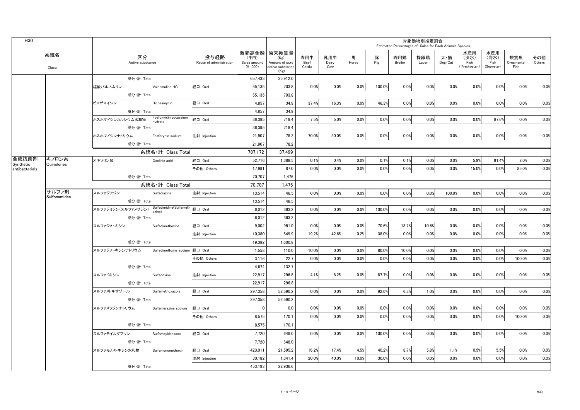| H30                         |                     |                                                    |                      |                                 |                                    |                                                                   |                       |                     |            |          | Estimated Percentages of Sales for Each Animals Species | 対象動物別推定割合    |                |                                     |                                   |                                                                                                                                                   |               |
|-----------------------------|---------------------|----------------------------------------------------|----------------------|---------------------------------|------------------------------------|-------------------------------------------------------------------|-----------------------|---------------------|------------|----------|---------------------------------------------------------|--------------|----------------|-------------------------------------|-----------------------------------|---------------------------------------------------------------------------------------------------------------------------------------------------|---------------|
|                             | 系統名<br>Class        | 区分<br>Active substance                             |                      | 投与経路<br>Route of administration | (千円)<br>Sales amount<br>$(*1,000)$ | 販売高金額 原末換算量<br>(Kg)<br>Amount of pure<br>active substance<br>(Kg) | 肉用牛<br>Beef<br>Cattle | 乳用牛<br>Dairy<br>Cow | 馬<br>Horse | 豚<br>Pig | 肉用鶏<br>Broiler                                          | 採卵鶏<br>Layer | 犬・猫<br>Dog/Cat | 水産用<br>(淡水)<br>Fish<br>(Freshwater) | 水産用<br>(海水)<br>Fish<br>(Seawater) | 観賞魚<br>Ornamental<br>Fish                                                                                                                         | その他<br>Others |
|                             |                     | 成分·計 Total                                         |                      |                                 | 657.433                            | 35,912.0                                                          |                       |                     |            |          |                                                         |              |                |                                     |                                   |                                                                                                                                                   |               |
|                             |                     | 塩酸バルネムリン                                           | Valnemuline HCI      | 経口 Oral                         | 55,135                             | 703.8                                                             | 0.0%                  | 0.0%                | 0.0%       | 100.0%   | 0.0%                                                    | 0.0%         | 0.0%           | 0.0%                                | 0.0%                              | 0.0%                                                                                                                                              | 0.0%          |
|                             |                     | 成分·計 Total                                         |                      |                                 | 55.135                             | 703.8                                                             |                       |                     |            |          |                                                         |              |                |                                     |                                   |                                                                                                                                                   |               |
|                             |                     | ビコザマイシン                                            | Bicozamycin          | 経口 Oral                         | 4.857                              | 34.9                                                              | 37.4%                 | 16.3%               | 0.0%       | 46.3%    | 0.0%                                                    | 0.0%         | 0.0%           | 0.0%                                | 0.0%                              | 0.0%<br>0.0%<br>0.0%<br>2.0%<br>85.0%<br>0.0%<br>0.0%<br>0.0%<br>0.0%<br>0.0%<br>100.0%<br>0.0%<br>0.0%<br>0.0%<br>100.0%<br>0.0%<br>0.0%<br>0.0% | 0.0%          |
|                             |                     | 成分·計 Total                                         |                      |                                 | 4,857                              | 34.9                                                              |                       |                     |            |          |                                                         |              |                |                                     |                                   |                                                                                                                                                   |               |
|                             |                     | ホスホマイシンカルシウム水和物 Fosfomycin potassium               |                      | 経口 Oral                         | 36,395                             | 718.4                                                             | 7.5%                  | 5.0%                | 0.0%       | 0.0%     | 0.0%                                                    | 0.0%         | 0.0%           | 0.0%                                | 87.6%                             |                                                                                                                                                   | 0.0%          |
|                             |                     | 成分·計 Total                                         |                      |                                 | 36,395                             | 718.4                                                             |                       |                     |            |          |                                                         |              |                |                                     |                                   |                                                                                                                                                   |               |
|                             |                     | ホスホマイシンナトリウム                                       | Fosforycin sodium    | 注射 Injection                    | 21.907                             | 78.2                                                              | 70.0%                 | 30.0%               | 0.0%       | 0.0%     | 0.0%                                                    | 0.0%         | 0.0%           | 0.0%                                | 0.0%                              |                                                                                                                                                   | 0.0%          |
|                             |                     | 成分·計 Total                                         |                      |                                 | 21,907                             | 78.2                                                              |                       |                     |            |          |                                                         |              |                |                                     |                                   |                                                                                                                                                   |               |
|                             |                     |                                                    | 系統名・計 Class Total    |                                 | 787,172                            | 37,499                                                            |                       |                     |            |          |                                                         |              |                |                                     |                                   |                                                                                                                                                   |               |
| 合成抗菌剤                       | キノロン系<br>Quinolones | オキソリン酸                                             | Oxolinic acid        | 経口 Oral                         | 52.716                             | 1.388.5                                                           | 0.1%                  | 0.4%                | 0.0%       | 0.1%     | 0.1%                                                    | 0.0%         | 0.0%           | 5.9%                                | 91.4%                             |                                                                                                                                                   | 0.0%          |
| Synthetic<br>antibacterials |                     |                                                    |                      | その他 Others                      | 17.991                             | 87.0                                                              | 0.0%                  | 0.0%                | 0.0%       | 0.0%     | 0.0%                                                    | 0.0%         | 0.0%           | 15.0%                               | 0.0%                              |                                                                                                                                                   | 0.0%          |
|                             |                     | 成分·計 Total                                         |                      |                                 | 70,707                             | 1,476                                                             |                       |                     |            |          |                                                         |              |                |                                     |                                   |                                                                                                                                                   |               |
|                             |                     |                                                    | 系統名·計 Class Total    |                                 | 70.707                             | 1.476                                                             |                       |                     |            |          |                                                         |              |                |                                     |                                   |                                                                                                                                                   |               |
|                             | サルファ剤               | スルファジアジン                                           | Sulfadiazine         | 注射 Injection                    | 13,514                             | 46.5                                                              | 0.0%                  | 0.0%                | 0.0%       | 0.0%     | 0.0%                                                    | 0.0%         | 100.0%         | 0.0%                                | 0.0%                              |                                                                                                                                                   | 0.0%          |
|                             | Sulfonamides        | 成分·計 Total                                         |                      |                                 | 13,514                             | 46.5                                                              |                       |                     |            |          |                                                         |              |                |                                     |                                   |                                                                                                                                                   |               |
|                             |                     | スルファジミジン(スルファメサジン) Sulfadimidine(Sulfameth 経口 Oral |                      |                                 | 6,012                              | 363.2                                                             | 0.0%                  | 0.0%                | 0.0%       | 100.0%   | 0.0%                                                    | 0.0%         | 0.0%<br>0.0%   | 0.0%                                |                                   | 0.0%                                                                                                                                              |               |
|                             |                     | 成分·計 Total                                         |                      |                                 | 6,012                              | 363.2                                                             |                       |                     |            |          |                                                         |              |                |                                     |                                   |                                                                                                                                                   |               |
|                             |                     | スルファジメトキシン Sulfadimethoxine                        |                      | 経口 Oral                         | 9,002                              | 951.0                                                             | 0.0%                  | 0.0%                | 0.0%       | 70.6%    | 18.7%                                                   | 10.6%        | 0.0%           | 0.0%                                | 0.0%                              |                                                                                                                                                   | 0.0%          |
|                             |                     |                                                    |                      | 注射 Injection                    | 10.380                             | 649.9                                                             | 19.2%                 | 42.6%               | 0.2%       | 38.0%    | 0.0%                                                    | 0.0%         | 0.0%           | 0.0%                                | 0.0%                              |                                                                                                                                                   | 0.0%          |
|                             |                     | 成分·計 Total                                         |                      |                                 | 19,382                             | 1,600.8                                                           |                       |                     |            |          |                                                         |              |                |                                     |                                   |                                                                                                                                                   |               |
|                             |                     | スルファジメトキシンナトリウム Sulfadimethxine sodium             |                      | 経口 Oral                         | 1.558                              | 110.0                                                             | 10.0%                 | 0.0%                | 0.0%       | 80.0%    | 10.0%                                                   | 0.0%         | 0.0%           | 0.0%                                | 0.0%                              |                                                                                                                                                   | 0.0%          |
|                             |                     |                                                    |                      | その他 Others                      | 3.116                              | 22.7                                                              | 0.0%                  | 0.0%                | 0.0%       | 0.0%     | 0.0%                                                    | 0.0%         | 0.0%           | 0.0%                                | 0.0%                              |                                                                                                                                                   | 0.0%          |
|                             |                     | 成分·計 Total                                         |                      |                                 | 4,674                              | 132.7                                                             |                       |                     |            |          |                                                         |              |                |                                     |                                   |                                                                                                                                                   |               |
|                             |                     | スルファドキシン                                           | Sulfadoxine          | 注射 Injection                    | 22.917                             | 296.8                                                             | 4.1%                  | 8.2%                | 0.0%       | 87.7%    | 0.0%                                                    | 0.0%         | 0.0%           | 0.0%                                | 0.0%                              | 0.0%<br>0.0%<br>0.0%<br>0.0%<br>5.5%<br>0.0%                                                                                                      | 0.0%          |
|                             |                     | 成分·計 Total                                         |                      |                                 | 22.917                             | 296.8                                                             |                       |                     |            |          |                                                         |              |                |                                     |                                   |                                                                                                                                                   |               |
|                             |                     | スルファメトキサゾール                                        | Sulfamethoxazole     | 経口 Oral                         | 297,358                            | 52,590.2                                                          | 0.0%                  | 0.0%                | 0.0%       | 92.6%    | 6.3%                                                    | 1.0%         | 0.0%           | 0.0%                                |                                   |                                                                                                                                                   | 0.0%          |
|                             |                     | 成分·計 Total                                         |                      |                                 | 297,358                            | 52,590.2                                                          |                       |                     |            |          |                                                         |              |                |                                     |                                   |                                                                                                                                                   |               |
|                             |                     | スルファメラジンナトリウム                                      | Sulfamerazine sodium | 経口 Oral                         | $\overline{0}$                     | 0.0                                                               | 0.0%                  | 0.0%                | 0.0%       | 0.0%     | 0.0%                                                    | 0.0%         | 0.0%           | 0.0%                                |                                   |                                                                                                                                                   | 0.0%          |
|                             |                     |                                                    |                      | その他 Others                      | 8,575                              | 170.1                                                             | 0.0%                  | 0.0%                | 0.0%       | 0.0%     | 0.0%                                                    | 0.0%         | 0.0%           | 0.0%                                |                                   |                                                                                                                                                   | 0.0%          |
|                             |                     | 成分·計 Total                                         |                      |                                 | 8,575                              | 170.1                                                             |                       |                     |            |          |                                                         |              |                |                                     |                                   |                                                                                                                                                   |               |
|                             |                     | スルファモイルダプソン                                        | SulfamoyIdapsone     | 経口 Oral                         | 7,720                              | 648.0                                                             | 0.0%                  | 0.0%                | 0.0%       | 100.0%   | 0.0%                                                    | 0.0%         | 0.0%           | 0.0%                                |                                   |                                                                                                                                                   | 0.0%          |
|                             |                     | 成分·計 Total                                         |                      |                                 | 7,720                              | 648.0                                                             |                       |                     |            |          |                                                         |              |                |                                     |                                   |                                                                                                                                                   |               |
|                             |                     | スルファモノメトキシン水和物 Sulfamonomethoxin                   |                      | 経口 Oral                         | 423,011                            | 21,595.2                                                          | 16.2%                 | 17.4%               | 4.5%       | 40.2%    | 8.7%                                                    | 5.8%         | 1.1%           | 0.5%                                |                                   |                                                                                                                                                   | 0.0%          |
|                             |                     |                                                    |                      | 注射 Injection                    | 30.182                             | 1,341.4                                                           | 20.0%                 | 40.0%               | 10.0%      | 30.0%    | 0.0%                                                    | 0.0%         | 0.0%           | 0.0%                                |                                   |                                                                                                                                                   | 0.0%          |
|                             |                     | 成分·計 Total                                         |                      |                                 | 453.193                            | 22.936.6                                                          |                       |                     |            |          |                                                         |              |                |                                     |                                   |                                                                                                                                                   |               |
|                             |                     |                                                    |                      |                                 |                                    |                                                                   |                       |                     |            |          |                                                         |              |                |                                     |                                   |                                                                                                                                                   |               |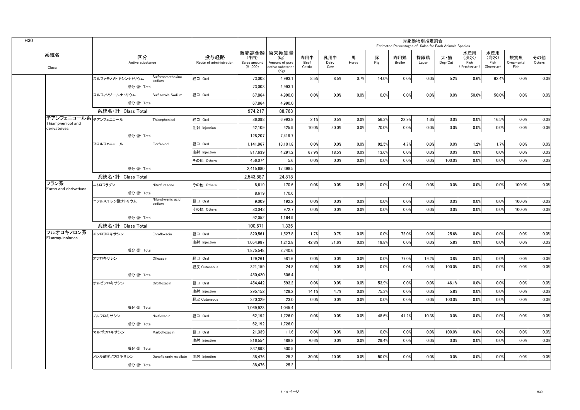|                                           |                   |                        |                              |                                 |                                  |                                                                   |                       |                     |            |          | Estimated Percentages of Sales for Each Animals Species | 対象動物別推定割合                                                                                                         |                |                                   |                                   |                           |               |
|-------------------------------------------|-------------------|------------------------|------------------------------|---------------------------------|----------------------------------|-------------------------------------------------------------------|-----------------------|---------------------|------------|----------|---------------------------------------------------------|-------------------------------------------------------------------------------------------------------------------|----------------|-----------------------------------|-----------------------------------|---------------------------|---------------|
| 系統名<br>Class                              |                   | 区分<br>Active substance |                              | 投与経路<br>Route of administration | (千円)<br>Sales amount<br>(41,000) | 販売高金額 原末換算量<br>(Kg)<br>Amount of pure<br>active substance<br>(Kg) | 肉用牛<br>Beef<br>Cattle | 乳用牛<br>Dairy<br>Cow | 馬<br>Horse | 豚<br>Pig | 肉用鶏<br>Broiler                                          | 採卵鶏<br>Layer                                                                                                      | 犬・猫<br>Dog/Cat | 水産用<br>(淡水)<br>Fish<br>Freshwater | 水産用<br>(海水)<br>Fish<br>(Seawater) | 観賞魚<br>Ornamental<br>Fish | その他<br>Others |
|                                           | スルファモノメトキシンナトリウム  |                        | Sulfarnomethoxine<br>sodium  | 経口 Oral                         | 73,008                           | 4.993.1                                                           | 8.5%                  | 8.5%                | 0.7%       | 14.0%    | 0.0%                                                    | 0.0%                                                                                                              |                | 0.6%                              | 62.4%                             | 0.0%                      | 0.0%          |
|                                           |                   | 成分·計 Total             |                              |                                 | 73,008                           | 4.993.1                                                           |                       |                     |            |          |                                                         |                                                                                                                   |                |                                   |                                   |                           |               |
|                                           | スルフィソゾールナトリウム     |                        | Sulfisozole Sodium           | 経口 Oral                         | 67.864                           | 4.990.0                                                           | 0.0%                  | 0.0%                | 0.0%       | 0.0%     | 0.0%                                                    | 0.0%                                                                                                              | 0.0%           | 50.0%                             | 50.0%                             | 0.0%                      | 0.0%          |
|                                           |                   | 成分·計 Total             |                              |                                 | 67.864                           | 4.990.0                                                           |                       |                     |            |          |                                                         |                                                                                                                   |                |                                   |                                   |                           |               |
|                                           | 系統名·計 Class Total |                        |                              |                                 | 974.217                          | 88.768                                                            |                       |                     |            |          |                                                         |                                                                                                                   |                |                                   |                                   |                           |               |
| チアンフェニコール系 チアンフェニコール<br>Thiamphenicol and |                   |                        | Thiamphenicol                | 経口 Oral                         | 86.098                           | 6.993.8                                                           | 2.1%                  | 0.5%                | 0.0%       | 56.3%    | 22.9%                                                   | 1.6%                                                                                                              | 0.0%           | 0.0%                              | 16.5%                             | 0.0%                      | 0.0%          |
| derivateives                              |                   |                        |                              | 注射 Injection                    | 42,109                           | 425.9                                                             | 10.0%                 | 20.0%               | 0.0%       | 70.0%    | 0.0%                                                    | 0.0%                                                                                                              | 0.0%           | 0.0%                              | 0.0%                              | 0.0%                      | 0.0%          |
|                                           |                   | 成分·計 Total             |                              |                                 | 128,207                          | 7.419.7                                                           |                       |                     |            |          |                                                         |                                                                                                                   |                |                                   |                                   |                           |               |
|                                           | フロルフェニコール         |                        | Florfenicol                  | 経口 Oral                         | 1,141,967                        | 13.101.8                                                          | 0.0%                  | 0.0%                | 0.0%       | 92.5%    | 4.7%                                                    | 0.0%                                                                                                              | 0.0%           | 1.2%                              | 1.7%                              | 0.0%                      | 0.0%          |
|                                           |                   |                        |                              | 注射 Injection                    | 817.639                          | 4.291.2                                                           | 67.9%                 | 18.5%               | 0.0%       | 13.6%    | 0.0%                                                    | 0.0%                                                                                                              | 0.0%           | 0.0%                              | 0.0%                              | 0.0%                      | 0.0%          |
|                                           |                   |                        |                              | その他 Others                      | 456,074                          | 5.6                                                               | 0.0%                  | 0.0%                | 0.0%       | 0.0%     | 0.0%                                                    | 0.0%                                                                                                              | 100.0%         | 0.0%                              | 0.0%                              | 0.0%                      | 0.0%          |
|                                           |                   | 成分·計 Total             |                              |                                 | 2,415,680                        | 17.398.5                                                          |                       |                     |            |          |                                                         |                                                                                                                   |                |                                   |                                   |                           |               |
|                                           | 系統名·計 Class Total |                        |                              |                                 | 2,543,887                        | 24,818                                                            |                       |                     |            |          |                                                         |                                                                                                                   |                |                                   |                                   |                           |               |
| フラン系<br>Furan and derivatives             | ニトロフラゾン           |                        | Nitrofurazone                | その他 Others                      | 8,619                            | 170.6                                                             | 0.0%                  | 0.0%                | 0.0%       | 0.0%     | 0.0%                                                    |                                                                                                                   |                | 0.0%                              | 0.0%                              | 100.0%                    | 0.0%          |
|                                           |                   | 成分·計 Total             |                              |                                 | 8.619                            | 170.6                                                             |                       |                     |            |          |                                                         |                                                                                                                   |                |                                   |                                   |                           |               |
|                                           | ニフルスチレン酸ナトリウム     |                        | Nifurstyrenic acid<br>sodium | 経口 Oral                         | 9.009                            | 192.2                                                             | 0.0%                  | 0.0%                | 0.0%       | 0.0%     | 0.0%                                                    | 0.0%                                                                                                              | 0.0%           | 0.0%                              | 0.0%                              | 100.0%                    | 0.0%          |
|                                           |                   |                        |                              | その他 Others                      | 83.043                           | 972.7                                                             | 0.0%                  | 0.0%                | 0.0%       | 0.0%     | 0.0%                                                    | 0.0%                                                                                                              | 0.0%           | 0.0%                              | 0.0%                              | 100.0%                    | 0.0%          |
|                                           |                   | 成分·計 Total             |                              |                                 | 92,052                           | 1,164.9                                                           |                       |                     |            |          |                                                         |                                                                                                                   |                |                                   |                                   |                           |               |
|                                           | 系統名·計 Class Total |                        |                              |                                 | 100.671                          | 1.336                                                             |                       |                     |            |          |                                                         |                                                                                                                   |                |                                   |                                   |                           |               |
| フルオロキノロン系<br>Fluoroquinolones             | エンロフロキサシン         |                        | Enrofloxacin                 | 経口 Oral                         | 820,561                          | 1,527.8                                                           | 1.7%                  | 0.7%                | 0.0%       | 0.0%     | 72.0%                                                   | 0.0%                                                                                                              | 25.6%          | 0.0%                              | 0.0%                              | 0.0%                      | 0.0%          |
|                                           |                   |                        |                              | 注射 Injection                    | 1.054.987                        | 1.212.8                                                           | 42.8%                 | 31.6%               | 0.0%       | 19.8%    | 0.0%                                                    | 0.0%                                                                                                              | 5.8%           | 0.0%                              | 0.0%                              | 0.0%                      | 0.0%          |
|                                           |                   | 成分·計 Total             |                              |                                 | 1,875,548                        | 2,740.6                                                           |                       |                     |            |          |                                                         |                                                                                                                   |                |                                   |                                   |                           |               |
|                                           | オフロキサシン           |                        | Ofloxacin                    | 経口 Oral                         | 129,261                          | 581.6                                                             | 0.0%                  | 0.0%                | 0.0%       | 0.0%     | 77.0%                                                   | 19.2%                                                                                                             |                | 0.0%                              | 0.0%                              | 0.0%                      | 0.0%          |
|                                           |                   |                        |                              | 経皮 Cutaneous                    | 321,159                          | 24.8                                                              | 0.0%                  | 0.0%                | 0.0%       | 0.0%     | 0.0%                                                    | 0.0%                                                                                                              | 100.0%         | 0.0%                              | 0.0%                              | 0.0%                      | 0.0%          |
|                                           |                   | 成分·計 Total             |                              |                                 | 450.420                          | 606.4                                                             |                       |                     |            |          |                                                         |                                                                                                                   |                |                                   |                                   |                           |               |
|                                           | オルビフロキサシン         |                        | Orbifloxacin                 | 経口 Oral                         | 454,442                          | 593.2                                                             | 0.0%                  | 0.0%                | 0.0%       | 53.9%    | 0.0%                                                    | 0.0%                                                                                                              | 46.1%          | 0.0%                              | 0.0%                              | 0.0%                      | 0.0%          |
|                                           |                   |                        |                              | 注射 Injection                    | 295,152                          | 429.2                                                             | 14.1%                 | 4.7%                | 0.0%       | 75.3%    | 0.0%                                                    | 0.0%                                                                                                              | 5.8%           | 0.0%                              | 0.0%                              | 0.0%                      | 0.0%          |
|                                           |                   |                        |                              | 経皮 Cutaneous                    | 320.329                          | 23.0                                                              | 0.0%                  | 0.0%                | 0.0%       | 0.0%     | 0.0%                                                    | 5.2%<br>0.0%<br>0.0%<br>3.8%<br>100.0%<br>0.0%<br>10.3%<br>0.0%<br>0.0%<br>100.0%<br>0.0%<br>0.0%<br>0.0%<br>0.0% | 0.0%           | 0.0%                              | 0.0%                              | 0.0%                      |               |
|                                           |                   | 成分·計 Total             |                              |                                 | 1,069,923                        | 1,045.4                                                           |                       |                     |            |          |                                                         |                                                                                                                   |                |                                   |                                   |                           |               |
|                                           | ノルフロキサシン          |                        | Norfloxacin                  | 経口 Oral                         | 62.192                           | 1.726.0                                                           | 0.0%                  | 0.0%                | 0.0%       | 48.6%    | 41.2%                                                   |                                                                                                                   |                | 0.0%                              | 0.0%                              | 0.0%                      | 0.0%          |
|                                           |                   | 成分·計 Total             |                              |                                 | 62,192                           | 1,726.0                                                           |                       |                     |            |          |                                                         |                                                                                                                   |                |                                   |                                   |                           |               |
|                                           | マルボフロキサシン         |                        | Marbofloxacin                | 経口 Oral                         | 21.339                           | 11.6                                                              | 0.0%                  | 0.0%                | 0.0%       | 0.0%     | 0.0%                                                    |                                                                                                                   |                | 0.0%                              | 0.0%                              | 0.0%                      | 0.0%          |
|                                           |                   |                        |                              | 注射 Injection                    | 816,554                          | 488.8                                                             | 70.6%                 | 0.0%                | 0.0%       | 29.4%    | 0.0%                                                    |                                                                                                                   |                | 0.0%                              | 0.0%                              | 0.0%                      | 0.0%          |
|                                           |                   | 成分·計 Total             |                              |                                 | 837,893                          | 500.5                                                             |                       |                     |            |          |                                                         |                                                                                                                   |                |                                   |                                   |                           |               |
|                                           | メシル酸ダノフロキサシン      |                        | Danofloxacin mesilate        | 注射 Injection                    | 38,476                           | 25.2                                                              | 30.0%                 | 20.0%               | 0.0%       | 50.0%    | 0.0%                                                    |                                                                                                                   |                | 0.0%                              | 0.0%                              | 0.0%                      | 0.0%          |
|                                           |                   | 成分·計 Total             |                              |                                 | 38.476                           | 25.2                                                              |                       |                     |            |          |                                                         |                                                                                                                   |                |                                   |                                   |                           |               |
|                                           |                   |                        |                              |                                 |                                  |                                                                   |                       |                     |            |          |                                                         |                                                                                                                   |                |                                   |                                   |                           |               |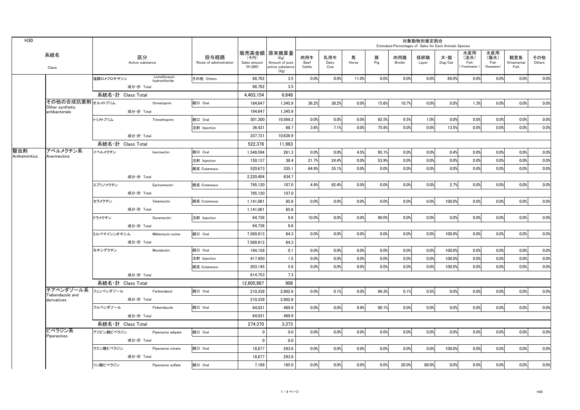| H30           |                                   |                   |                        |                               |                                 |                                  |                                                                   |                       |                     |            |          |                       | 対象動物別推定割合<br>Estimated Percentages of Sales for Each Animals Species |                |                                   |                                   |                           |               |
|---------------|-----------------------------------|-------------------|------------------------|-------------------------------|---------------------------------|----------------------------------|-------------------------------------------------------------------|-----------------------|---------------------|------------|----------|-----------------------|----------------------------------------------------------------------|----------------|-----------------------------------|-----------------------------------|---------------------------|---------------|
|               | 系統名<br>Class                      |                   | 区分<br>Active substance |                               | 投与経路<br>Route of administration | (千円)<br>Sales amount<br>(41,000) | 販売高金額 原末換算量<br>(Kg)<br>Amount of pure<br>active substance<br>(Kg) | 肉用牛<br>Beef<br>Cattle | 乳用牛<br>Dairy<br>Cow | 馬<br>Horse | 豚<br>Pig | 肉用鶏<br><b>Broiler</b> | 採卵鶏<br>Layer                                                         | 犬・猫<br>Dog/Cat | 水産用<br>(淡水)<br>Fish<br>Freshwater | 水産用<br>(海水)<br>Fish<br>(Seawater) | 観賞魚<br>Ornamental<br>Fish | その他<br>Others |
|               |                                   | 塩酸ロメフロキサシン        |                        | Lomefloxacin<br>hydrochloride | その他 Others                      | 68,702                           | 3.5                                                               | 0.0%                  | 0.0%                | 11.0%      | 0.0%     | 0.0%                  | 0.0%                                                                 | 89.0%          | 0.0%                              | 0.0%                              | 0.0%                      | 0.0%          |
|               |                                   |                   | 成分·計 Total             |                               |                                 | 68.702                           | 3.5                                                               |                       |                     |            |          |                       |                                                                      |                |                                   |                                   |                           |               |
|               |                                   | 系統名·計 Class Total |                        |                               |                                 | 4.403.154                        | 6.648                                                             |                       |                     |            |          |                       |                                                                      |                |                                   |                                   |                           |               |
|               | その他の合成抗菌剤オルメトプリム                  |                   |                        | Ormetoprim                    | 経口 Oral                         | 184,647                          | 1,345.9                                                           | 36.2%                 | 36.2%               | 0.0%       | 15.6%    | 10.7%                 | 0.0%                                                                 | 0.0%           | 1.3%                              | 0.0%                              | 0.0%                      | 0.0%          |
|               | Other synthetic<br>antibacterials |                   | 成分·計 Total             |                               |                                 | 184.647                          | 1.345.9                                                           |                       |                     |            |          |                       |                                                                      |                |                                   |                                   |                           |               |
|               |                                   | トリメトプリム           |                        | Trimethoprim                  | 経口 Oral                         | 301,300                          | 10,568.2                                                          | 0.0%                  | 0.0%                | 0.0%       | 92.5%    | 6.5%                  | 1.0%                                                                 | 0.0%           | 0.0%                              | 0.0%                              | 0.0%                      | 0.0%          |
|               |                                   |                   |                        |                               | 注射 Injection                    | 36,431                           | 68.7                                                              | 3.6%                  | 7.1%                | 0.0%       | 75.8%    | 0.0%                  | 0.0%                                                                 | 13.5%          | 0.0%                              | 0.0%                              | 0.0%                      | 0.0%          |
|               |                                   |                   | 成分·計 Total             |                               |                                 | 337.731                          | 10.636.9                                                          |                       |                     |            |          |                       |                                                                      |                |                                   |                                   |                           |               |
|               |                                   | 系統名·計 Class Total |                        |                               |                                 | 522,378                          | 11,983                                                            |                       |                     |            |          |                       |                                                                      |                |                                   |                                   |                           |               |
| 駆虫剤           | アベルメクチン系                          | イベルメクチン           |                        | Ivermectin                    | 経口 Oral                         | 1,549,594                        | 261.3                                                             | 0.0%                  | 0.0%                | 4.5%       | 95.1%    | 0.0%                  | 0.0%                                                                 | 0.4%           | 0.0%                              | 0.0%                              | 0.0%                      | 0.0%          |
| Anthelmintics | Avermectins                       |                   |                        |                               | 注射 Injection                    | 150,137                          | 38.4                                                              | 21.7%                 | 24.4%               | 0.0%       | 53.9%    | 0.0%                  | 0.0%                                                                 | 0.0%           | 0.0%                              | 0.0%                              | 0.0%                      | 0.0%          |
|               |                                   |                   |                        |                               | 経皮 Cutaneous                    | 520.673                          | 335.1                                                             | 64.9%                 | 35.1%               | 0.0%       | 0.0%     | 0.0%                  | 0.0%                                                                 | 0.0%           | 0.0%                              | 0.0%                              | 0.0%                      | 0.0%          |
|               |                                   |                   | 成分·計 Total             |                               |                                 | 2.220.404                        | 634.7                                                             |                       |                     |            |          |                       |                                                                      |                |                                   |                                   |                           |               |
|               |                                   | エプリノメクチン          |                        | Eprinomectin                  | 経皮 Cutaneous                    | 795,120                          | 107.0                                                             | 4.9%                  | 92.4%               | 0.0%       | 0.0%     | 0.0%                  | 0.0%                                                                 | 2.7%           | 0.0%                              | 0.0%                              | 0.0%                      | 0.0%          |
|               |                                   |                   | 成分·計 Total             |                               |                                 | 795.120                          | 107.0                                                             |                       |                     |            |          |                       |                                                                      |                |                                   |                                   |                           |               |
|               |                                   | セラメクチン            |                        | Selamectin                    | 経皮 Cutaneous                    | 1,141,061                        | 85.6                                                              | 0.0%                  | 0.0%                | 0.0%       | 0.0%     | 0.0%                  | 0.0%                                                                 | 100.0%         | 0.0%                              | 0.0%                              | 0.0%                      | 0.0%          |
|               |                                   |                   | 成分·計 Total             |                               |                                 | 1,141,061                        | 85.6                                                              |                       |                     |            |          |                       |                                                                      |                |                                   |                                   |                           |               |
|               |                                   | ドラメクチン            |                        | Doramectin                    | 注射 Injection                    | 64.736                           | 9.6                                                               | 10.0%                 | 0.0%                | 0.0%       | 90.0%    | 0.0%                  | 0.0%                                                                 | 0.0%           | 0.0%                              | 0.0%                              | 0.0%                      | 0.0%          |
|               |                                   |                   | 成分·計 Total             |                               |                                 | 64,736                           | 9.6                                                               |                       |                     |            |          |                       |                                                                      |                |                                   |                                   |                           |               |
|               |                                   | ミルベマイシンオキシム       |                        | Miblemycin oxime              | 経口 Oral                         | 7,569,913                        | 64.3                                                              | 0.0%                  | 0.0%                | 0.0%       | 0.0%     | 0.0%                  | 0.0%                                                                 | 100.0%         | 0.0%                              | 0.0%                              | 0.0%                      | 0.0%          |
|               |                                   |                   | 成分·計 Total             |                               |                                 | 7,569,913                        | 64.3                                                              |                       |                     |            |          |                       |                                                                      |                |                                   |                                   |                           |               |
|               |                                   | モキシデクチン           |                        | Moxidectin                    | 経口 Oral                         | 194,158                          | 0.1                                                               | 0.0%                  | 0.0%                | 0.0%       | 0.0%     | 0.0%                  | 0.0%                                                                 | 100.0%         | 0.0%                              | 0.0%                              | 0.0%                      | 0.0%          |
|               |                                   |                   |                        |                               | 注射 Injection                    | 417,450                          | 1.5                                                               | 0.0%                  | 0.0%                | 0.0%       | 0.0%     | 0.0%                  | 0.0%                                                                 | 100.0%         | 0.0%                              | 0.0%                              | 0.0%                      | 0.0%          |
|               |                                   |                   |                        |                               | 経皮 Cutaneous                    | 203,145                          | 5.8                                                               | 0.0%                  | 0.0%                | 0.0%       | 0.0%     | 0.0%                  | 0.0%                                                                 | 100.0%         | 0.0%                              | 0.0%                              | 0.0%                      | 0.0%          |
|               |                                   |                   | 成分·計 Total             |                               |                                 | 814,753                          | 7.3                                                               |                       |                     |            |          |                       |                                                                      |                |                                   |                                   |                           |               |
|               |                                   | 系統名·計 Class Total |                        |                               |                                 | 12,605,987                       | 908                                                               |                       |                     |            |          |                       |                                                                      |                |                                   |                                   |                           |               |
|               | チアベンダゾール系 フェンベンダゾール               |                   |                        | Fenbendazol                   | 経口 Oral                         | 210.339                          | 2.902.6                                                           | 0.0%                  | 0.1%                | 0.0%       | 99.3%    | 0.1%                  | 0.5%                                                                 | 0.0%           | 0.0%                              | 0.0%                              | 0.0%                      | 0.0%          |
|               | Tiabendazole and<br>derivatives   |                   | 成分·計 Total             |                               |                                 | 210,339                          | 2,902.6                                                           |                       |                     |            |          |                       |                                                                      |                |                                   |                                   |                           |               |
|               |                                   | フルベンダゾール          |                        | Flubendazole                  | 経口 Oral                         | 64,031                           | 469.9                                                             | 0.0%                  | 0.0%                | 9.9%       | 90.1%    | 0.0%                  | 0.0%                                                                 | 0.0%           | 0.0%                              | 0.0%                              | 0.0%                      | 0.0%          |
|               |                                   |                   | 成分·計 Total             |                               |                                 | 64.031                           | 469.9                                                             |                       |                     |            |          |                       |                                                                      |                |                                   |                                   |                           |               |
|               |                                   | 系統名·計 Class Total |                        |                               |                                 | 274,370                          | 3,373                                                             |                       |                     |            |          |                       |                                                                      |                |                                   |                                   |                           |               |
|               | ピペラジン系                            | アジピン酸ピペラジン        |                        | Piperazine adipate            | 経口 Oral                         | $\mathbf 0$                      | 0.0                                                               | 0.0%                  | 0.0%                | 0.0%       | 0.0%     | 0.0%                  | 0.0%                                                                 | 0.0%           | 0.0%                              | 0.0%                              | 0.0%                      | 0.0%          |
|               | Piperazines                       |                   | 成分·計 Total             |                               |                                 | $\mathbf 0$                      | 0.0                                                               |                       |                     |            |          |                       |                                                                      |                |                                   |                                   |                           |               |
|               |                                   | クエン酸ピペラジン         |                        | Piperazine citrate            | 経口 Oral                         | 18,877                           | 293.8                                                             | 0.0%                  | 0.0%                | 0.0%       | 0.0%     | 0.0%                  | 0.0%                                                                 | 100.0%         | 0.0%                              | 0.0%                              | 0.0%                      | 0.0%          |
|               |                                   |                   | 成分·計 Total             |                               |                                 | 18,877                           | 293.8                                                             |                       |                     |            |          |                       |                                                                      |                |                                   |                                   |                           |               |
|               |                                   | リン酸ピペラジン          |                        | Piperazine sulfate            | 経口 Oral                         | 7.169                            | 185.0                                                             | 0.0%                  | 0.0%                | 0.0%       | 0.0%     | 20.0%                 | 80.0%                                                                | 0.0%           | 0.0%                              | 0.0%                              | 0.0%                      | 0.0%          |
|               |                                   |                   |                        |                               |                                 |                                  |                                                                   |                       |                     |            |          |                       |                                                                      |                |                                   |                                   |                           |               |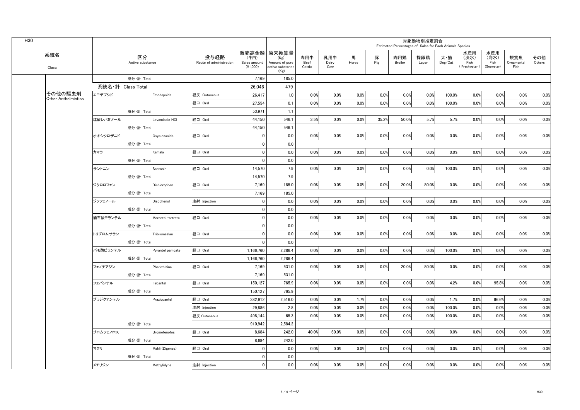| H30 |                            |                   |                        |                     |                                 |                                    |                                                                   |                       |                     |            |          | Estimated Percentages of Sales for Each Animals Species | 対象動物別推定割合    |                                    |                                     |                                   |                           |               |
|-----|----------------------------|-------------------|------------------------|---------------------|---------------------------------|------------------------------------|-------------------------------------------------------------------|-----------------------|---------------------|------------|----------|---------------------------------------------------------|--------------|------------------------------------|-------------------------------------|-----------------------------------|---------------------------|---------------|
|     | 系統名<br>Class               |                   | 区分<br>Active substance |                     | 投与経路<br>Route of administration | (千円)<br>Sales amount<br>$(*1,000)$ | 販売高金額 原末換算量<br>(Kg)<br>Amount of pure<br>active substance<br>(Kg) | 肉用牛<br>Beef<br>Cattle | 乳用牛<br>Dairy<br>Cow | 馬<br>Horse | 豚<br>Pig | 肉用鶏<br>Broiler                                          | 採卵鶏<br>Layer | 犬・猫<br>$\mathsf{Dog}/\mathsf{Cat}$ | 水産用<br>(淡水)<br>Fish<br>(Freshwater) | 水産用<br>(海水)<br>Fish<br>(Seawater) | 観賞魚<br>Ornamental<br>Fish | その他<br>Others |
|     |                            |                   | 成分·計 Total             |                     |                                 | 7,169                              | 185.0                                                             |                       |                     |            |          |                                                         |              |                                    |                                     |                                   |                           |               |
|     |                            | 系統名・計 Class Total |                        |                     |                                 | 26.046                             | 479                                                               |                       |                     |            |          |                                                         |              |                                    |                                     |                                   |                           |               |
|     | その他の駆虫剤                    | エモデプシド            |                        | Emodepside          | 経皮 Cutaneous                    | 26,417                             | 1.0                                                               | 0.0%                  | 0.0%                | 0.0%       | 0.0%     | 0.0%                                                    | 0.0%         | 100.0%                             | 0.0%                                | 0.0%                              | 0.0%                      | 0.0%          |
|     | <b>Other Anthelmintics</b> |                   |                        |                     | 経口 Oral                         | 27,554                             | 0.1                                                               | 0.0%                  | 0.0%                | 0.0%       | 0.0%     | 0.0%                                                    | 0.0%         | 100.0%                             | 0.0%                                | 0.0%                              | 0.0%                      | 0.0%          |
|     |                            |                   | 成分·計 Total             |                     |                                 | 53.971                             | 1.1                                                               |                       |                     |            |          |                                                         |              |                                    |                                     |                                   |                           |               |
|     |                            | 塩酸レバミゾール          |                        | Levamisole HCI      | 経口 Oral                         | 44,150                             | 546.1                                                             | 3.5%                  | 0.0%                | 0.0%       | 35.2%    | 50.0%                                                   | 5.7%         | 5.7%                               | 0.0%                                | 0.0%                              | 0.0%                      | 0.0%          |
|     |                            |                   | 成分·計 Total             |                     |                                 | 44.150                             | 546.1                                                             |                       |                     |            |          |                                                         |              |                                    |                                     |                                   |                           |               |
|     |                            | オキシクロザニド          |                        | Oxyclozanide        | 経口 Oral                         | 0                                  | 0.0                                                               | 0.0%                  | 0.0%                | 0.0%       | 0.0%     | 0.0%                                                    | 0.0%         | 0.0%                               | 0.0%                                | 0.0%                              | 0.0%                      | 0.0%          |
|     |                            |                   | 成分·計 Total             |                     |                                 | $\mathbf 0$                        | 0.0                                                               |                       |                     |            |          |                                                         |              |                                    |                                     |                                   |                           |               |
|     |                            | カマラ               |                        | Kamala              | 経口 Oral                         | $\mathbf 0$                        | 0.0                                                               | 0.0%                  | 0.0%                | 0.0%       | 0.0%     | 0.0%                                                    | 0.0%         | 0.0%                               | 0.0%                                | 0.0%                              | 0.0%                      | 0.0%          |
|     |                            |                   | 成分·計 Total             |                     |                                 | $\mathbf 0$                        | 0.0                                                               |                       |                     |            |          |                                                         |              |                                    |                                     |                                   |                           |               |
|     |                            | サントニン             |                        | Santonin            | 経口 Oral                         | 14,570                             | 7.9                                                               | 0.0%                  | 0.0%                | 0.0%       | 0.0%     | 0.0%                                                    | 0.0%         | 100.0%                             | 0.0%                                | 0.0%                              | 0.0%                      | 0.0%          |
|     |                            |                   | 成分·計 Total             |                     |                                 | 14,570                             | 7.9                                                               |                       |                     |            |          |                                                         |              |                                    |                                     |                                   |                           |               |
|     |                            | ジクロロフェン           |                        | Dichlorophen        | 経口 Oral                         | 7,169                              | 185.0                                                             | 0.0%                  | 0.0%                | 0.0%       | 0.0%     | 20.0%                                                   | 80.0%        | 0.0%                               | 0.0%                                | 0.0%                              | 0.0%                      | 0.0%          |
|     |                            |                   | 成分·計 Total             |                     |                                 | 7,169                              | 185.0                                                             |                       |                     |            |          |                                                         |              |                                    |                                     |                                   |                           |               |
|     |                            | ジソフェノール           |                        | Disophenol          | 注射 Injection                    | 0                                  | 0.0                                                               | 0.0%                  | 0.0%                | 0.0%       | 0.0%     | 0.0%                                                    | 0.0%         | 0.0%                               | 0.0%                                | 0.0%                              | 0.0%                      | 0.0%          |
|     |                            |                   | 成分·計 Total             |                     |                                 | 0                                  | 0.0                                                               |                       |                     |            |          |                                                         |              |                                    |                                     |                                   |                           |               |
|     |                            | 酒石酸モランテル          |                        | Morantel tartrate   | 経口 Oral                         | $\mathbf 0$                        | 0.0                                                               | 0.0%                  | 0.0%                | 0.0%       | 0.0%     | 0.0%                                                    | 0.0%         | 0.0%                               | 0.0%                                | 0.0%                              | 0.0%                      | 0.0%          |
|     |                            |                   | 成分·計 Total             |                     |                                 | 0                                  | 0.0                                                               |                       |                     |            |          |                                                         |              |                                    |                                     |                                   |                           |               |
|     |                            | トリブロムサラン          |                        | Tribromsalan        | 経口 Oral                         | $\mathbf 0$                        | 0.0                                                               | 0.0%                  | 0.0%                | 0.0%       | 0.0%     | 0.0%                                                    | 0.0%         | 0.0%                               | 0.0%                                | 0.0%                              | 0.0%                      | 0.0%          |
|     |                            |                   | 成分·計 Total             |                     |                                 | $\mathbf{0}$                       | 0.0                                                               |                       |                     |            |          |                                                         |              |                                    |                                     |                                   |                           |               |
|     |                            | パモ酸ピランテル          |                        | Pyrantel pamoate    | 経口 Oral                         | 1,166,760                          | 2,286.4                                                           | 0.0%                  | 0.0%                | 0.0%       | 0.0%     | 0.0%                                                    | 0.0%         | 100.0%                             | 0.0%                                | 0.0%                              | 0.0%                      | 0.0%          |
|     |                            |                   | 成分·計 Total             |                     |                                 | 1,166,760                          | 2,286.4                                                           |                       |                     |            |          |                                                         |              |                                    |                                     |                                   |                           |               |
|     |                            | フェノチアジン           |                        | Phenithizine        | 経口 Oral                         | 7,169                              | 531.0                                                             | 0.0%                  | 0.0%                | 0.0%       | 0.0%     | 20.0%                                                   | 80.0%        | 0.0%                               | 0.0%                                | 0.0%                              | 0.0%                      | 0.0%          |
|     |                            |                   | 成分·計 Total             |                     |                                 | 7,169                              | 531.0                                                             |                       |                     |            |          |                                                         |              |                                    |                                     |                                   |                           |               |
|     |                            | フェバンテル            |                        | Febantel            | 経口 Oral                         | 150,127                            | 765.9                                                             | 0.0%                  | 0.0%                | 0.0%       | 0.0%     | 0.0%                                                    | 0.0%         | 4.2%                               | 0.0%                                | 95.8%                             | 0.0%                      | 0.0%          |
|     |                            |                   | 成分·計 Total             |                     |                                 | 150,127                            | 765.9                                                             |                       |                     |            |          |                                                         |              |                                    |                                     |                                   |                           |               |
|     |                            | プラジクアンテル          |                        | Praziquantel        | 経口 Oral                         | 382,912                            | 2,516.0                                                           | 0.0%                  | 0.0%                | 1.7%       | 0.0%     | 0.0%                                                    | 0.0%         | 1.7%                               | 0.0%                                | 96.6%                             | 0.0%                      | 0.0%          |
|     |                            |                   |                        |                     | 注射 Injection                    | 29.886                             | 2.8                                                               | 0.0%                  | 0.0%                | 0.0%       | 0.0%     | 0.0%                                                    | 0.0%         | 100.0%                             | 0.0%                                | 0.0%                              | 0.0%                      | 0.0%          |
|     |                            |                   |                        |                     | 経皮 Cutaneous                    | 498.144                            | 65.3                                                              | 0.0%                  | 0.0%                | 0.0%       | 0.0%     | 0.0%                                                    | 0.0%         | 100.0%                             | 0.0%                                | 0.0%                              | 0.0%                      | 0.0%          |
|     |                            |                   | 成分·計 Total             |                     |                                 | 910,942                            | 2,584.2                                                           |                       |                     |            |          |                                                         |              |                                    |                                     |                                   |                           |               |
|     |                            | ブロムフェノホス          |                        | <b>Bromofenofos</b> | 経口 Oral                         | 8.684                              | 242.0                                                             | 40.0%                 | 60.0%               | 0.0%       | 0.0%     | 0.0%                                                    | 0.0%         | 0.0%                               | 0.0%                                | 0.0%                              | 0.0%                      | 0.0%          |
|     |                            |                   | 成分·計 Total             |                     |                                 | 8,684                              | 242.0                                                             |                       |                     |            |          |                                                         |              |                                    |                                     |                                   |                           |               |
|     |                            | マクリ               |                        | Makli (Digenea)     | 経口 Oral                         | $\mathbf 0$                        | 0.0                                                               | 0.0%                  | 0.0%                | 0.0%       | 0.0%     | 0.0%                                                    | 0.0%         | 0.0%                               | 0.0%                                | 0.0%                              | 0.0%                      | 0.0%          |
|     |                            |                   | 成分·計 Total             |                     |                                 | $\mathbf 0$                        | 0.0                                                               |                       |                     |            |          |                                                         |              |                                    |                                     |                                   |                           |               |
|     |                            | メチリジン             |                        | Methylidyne         | 注射 Injection                    | $\mathbf 0$                        | 0.0                                                               | 0.0%                  | 0.0%                | 0.0%       | 0.0%     | 0.0%                                                    | 0.0%         | 0.0%                               | 0.0%                                | 0.0%                              | 0.0%                      | 0.0%          |